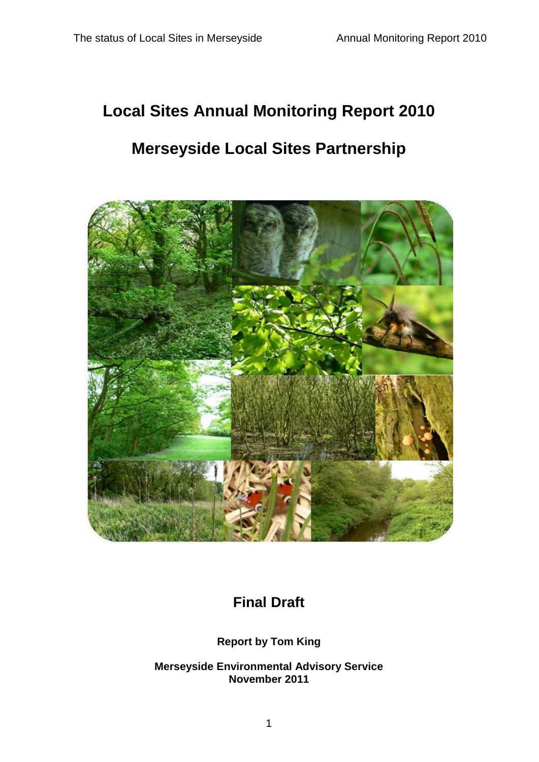# **Local Sites Annual Monitoring Report 2010**

# **Merseyside Local Sites Partnership**



# **Final Draft**

# **Report by Tom King**

**Merseyside Environmental Advisory Service November 2011**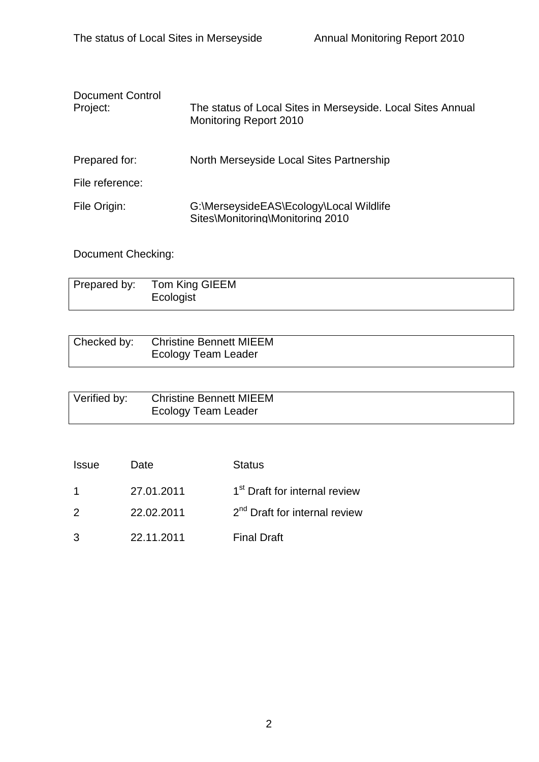| Document Control<br>Project: | The status of Local Sites in Merseyside. Local Sites Annual<br><b>Monitoring Report 2010</b> |  |  |  |
|------------------------------|----------------------------------------------------------------------------------------------|--|--|--|
| Prepared for:                | North Merseyside Local Sites Partnership                                                     |  |  |  |
| File reference:              |                                                                                              |  |  |  |
| File Origin:                 | G:\MerseysideEAS\Ecology\Local Wildlife<br>Sites\Monitoring\Monitoring 2010                  |  |  |  |

Document Checking:

| Prepared by: | Tom King GIEEM<br>Ecologist |
|--------------|-----------------------------|
|              |                             |

| Checked by: | <b>Christine Bennett MIEEM</b> |
|-------------|--------------------------------|
|             | <b>Ecology Team Leader</b>     |

| Verified by: | <b>Christine Bennett MIEEM</b> |  |
|--------------|--------------------------------|--|
|              | <b>Ecology Team Leader</b>     |  |

| <b>Issue</b>   | Date       | <b>Status</b>                             |
|----------------|------------|-------------------------------------------|
| $\overline{1}$ | 27.01.2011 | 1 <sup>st</sup> Draft for internal review |
| $\mathcal{P}$  | 22.02.2011 | 2 <sup>nd</sup> Draft for internal review |
| 3              | 22.11.2011 | <b>Final Draft</b>                        |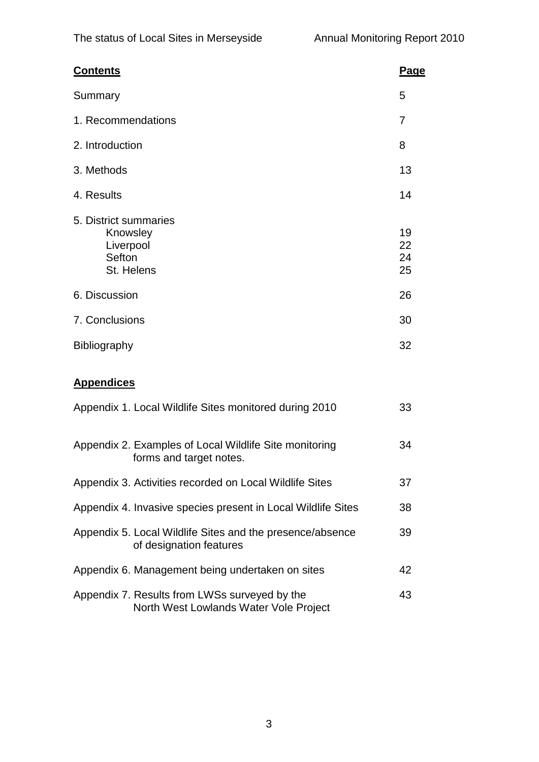| <b>Contents</b>                                                                         | Page                       |
|-----------------------------------------------------------------------------------------|----------------------------|
| Summary                                                                                 | 5                          |
| 1. Recommendations                                                                      | 7                          |
| 2. Introduction                                                                         | 8                          |
| 3. Methods                                                                              | 13                         |
| 4. Results                                                                              | 14                         |
| 5. District summaries<br>Knowsley<br>Liverpool<br>Sefton<br>St. Helens<br>6. Discussion | 19<br>22<br>24<br>25<br>26 |
| 7. Conclusions                                                                          | 30                         |
| Bibliography                                                                            | 32                         |
| <b>Appendices</b>                                                                       |                            |
| Appendix 1. Local Wildlife Sites monitored during 2010                                  | 33                         |
|                                                                                         |                            |

| Appendix 2. Examples of Local Wildlife Site monitoring<br>forms and target notes.       | 34 |
|-----------------------------------------------------------------------------------------|----|
| Appendix 3. Activities recorded on Local Wildlife Sites                                 | 37 |
| Appendix 4. Invasive species present in Local Wildlife Sites                            | 38 |
| Appendix 5. Local Wildlife Sites and the presence/absence<br>of designation features    | 39 |
| Appendix 6. Management being undertaken on sites                                        | 42 |
| Appendix 7. Results from LWSs surveyed by the<br>North West Lowlands Water Vole Project | 43 |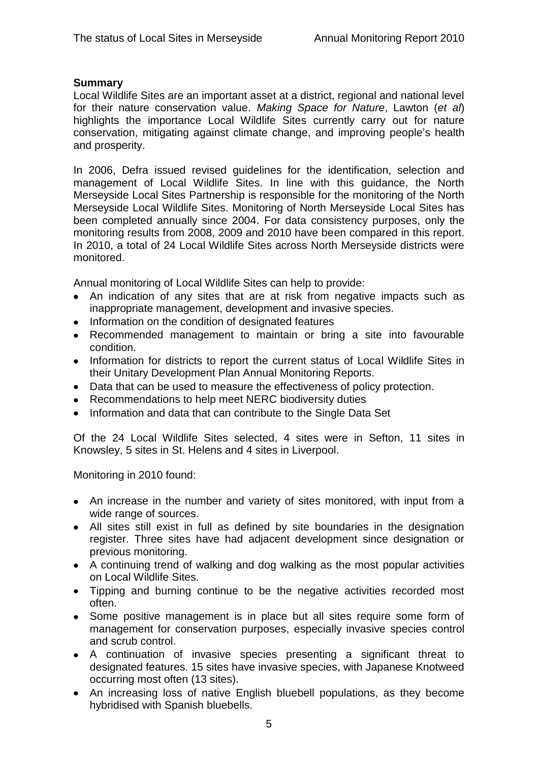# **Summary**

Local Wildlife Sites are an important asset at a district, regional and national level for their nature conservation value. *Making Space for Nature*, Lawton (*et al*) highlights the importance Local Wildlife Sites currently carry out for nature conservation, mitigating against climate change, and improving people"s health and prosperity.

In 2006, Defra issued revised guidelines for the identification, selection and management of Local Wildlife Sites. In line with this guidance, the North Merseyside Local Sites Partnership is responsible for the monitoring of the North Merseyside Local Wildlife Sites. Monitoring of North Merseyside Local Sites has been completed annually since 2004. For data consistency purposes, only the monitoring results from 2008, 2009 and 2010 have been compared in this report. In 2010, a total of 24 Local Wildlife Sites across North Merseyside districts were monitored.

Annual monitoring of Local Wildlife Sites can help to provide:

- An indication of any sites that are at risk from negative impacts such as inappropriate management, development and invasive species.
- Information on the condition of designated features
- Recommended management to maintain or bring a site into favourable condition.
- Information for districts to report the current status of Local Wildlife Sites in their Unitary Development Plan Annual Monitoring Reports.
- Data that can be used to measure the effectiveness of policy protection.
- Recommendations to help meet NERC biodiversity duties
- Information and data that can contribute to the Single Data Set

Of the 24 Local Wildlife Sites selected, 4 sites were in Sefton, 11 sites in Knowsley, 5 sites in St. Helens and 4 sites in Liverpool.

Monitoring in 2010 found:

- An increase in the number and variety of sites monitored, with input from a wide range of sources.
- All sites still exist in full as defined by site boundaries in the designation register. Three sites have had adjacent development since designation or previous monitoring.
- A continuing trend of walking and dog walking as the most popular activities on Local Wildlife Sites.
- Tipping and burning continue to be the negative activities recorded most often.
- Some positive management is in place but all sites require some form of management for conservation purposes, especially invasive species control and scrub control.
- A continuation of invasive species presenting a significant threat to designated features. 15 sites have invasive species, with Japanese Knotweed occurring most often (13 sites).
- An increasing loss of native English bluebell populations, as they become hybridised with Spanish bluebells.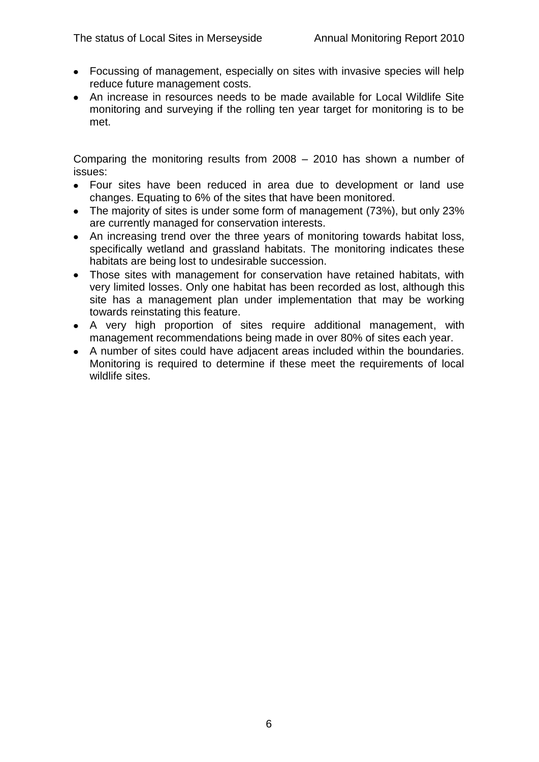- Focussing of management, especially on sites with invasive species will help reduce future management costs.
- An increase in resources needs to be made available for Local Wildlife Site monitoring and surveying if the rolling ten year target for monitoring is to be met.

Comparing the monitoring results from 2008 – 2010 has shown a number of issues:

- Four sites have been reduced in area due to development or land use changes. Equating to 6% of the sites that have been monitored.
- The majority of sites is under some form of management (73%), but only 23% are currently managed for conservation interests.
- An increasing trend over the three years of monitoring towards habitat loss. specifically wetland and grassland habitats. The monitoring indicates these habitats are being lost to undesirable succession.
- Those sites with management for conservation have retained habitats, with very limited losses. Only one habitat has been recorded as lost, although this site has a management plan under implementation that may be working towards reinstating this feature.
- A very high proportion of sites require additional management, with management recommendations being made in over 80% of sites each year.
- A number of sites could have adjacent areas included within the boundaries. Monitoring is required to determine if these meet the requirements of local wildlife sites.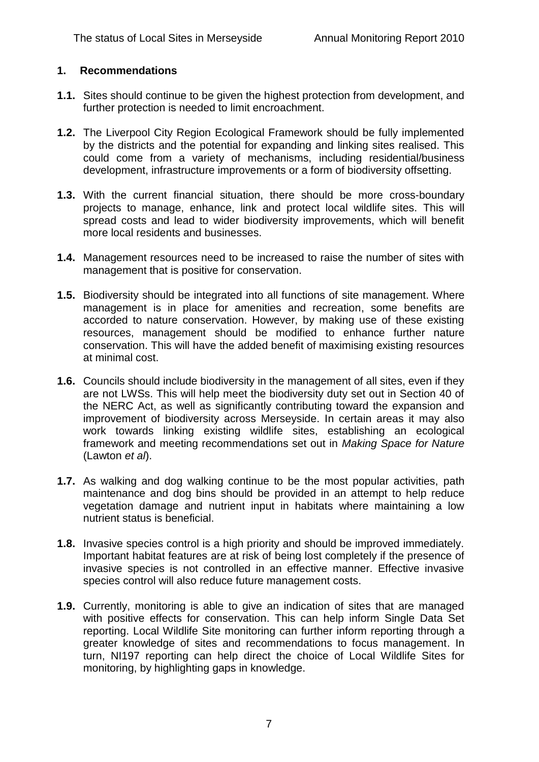# **1. Recommendations**

- **1.1.** Sites should continue to be given the highest protection from development, and further protection is needed to limit encroachment.
- **1.2.** The Liverpool City Region Ecological Framework should be fully implemented by the districts and the potential for expanding and linking sites realised. This could come from a variety of mechanisms, including residential/business development, infrastructure improvements or a form of biodiversity offsetting.
- **1.3.** With the current financial situation, there should be more cross-boundary projects to manage, enhance, link and protect local wildlife sites. This will spread costs and lead to wider biodiversity improvements, which will benefit more local residents and businesses.
- **1.4.** Management resources need to be increased to raise the number of sites with management that is positive for conservation.
- **1.5.** Biodiversity should be integrated into all functions of site management. Where management is in place for amenities and recreation, some benefits are accorded to nature conservation. However, by making use of these existing resources, management should be modified to enhance further nature conservation. This will have the added benefit of maximising existing resources at minimal cost.
- **1.6.** Councils should include biodiversity in the management of all sites, even if they are not LWSs. This will help meet the biodiversity duty set out in Section 40 of the NERC Act, as well as significantly contributing toward the expansion and improvement of biodiversity across Merseyside. In certain areas it may also work towards linking existing wildlife sites, establishing an ecological framework and meeting recommendations set out in *Making Space for Nature* (Lawton *et al*).
- **1.7.** As walking and dog walking continue to be the most popular activities, path maintenance and dog bins should be provided in an attempt to help reduce vegetation damage and nutrient input in habitats where maintaining a low nutrient status is beneficial.
- **1.8.** Invasive species control is a high priority and should be improved immediately. Important habitat features are at risk of being lost completely if the presence of invasive species is not controlled in an effective manner. Effective invasive species control will also reduce future management costs.
- **1.9.** Currently, monitoring is able to give an indication of sites that are managed with positive effects for conservation. This can help inform Single Data Set reporting. Local Wildlife Site monitoring can further inform reporting through a greater knowledge of sites and recommendations to focus management. In turn, NI197 reporting can help direct the choice of Local Wildlife Sites for monitoring, by highlighting gaps in knowledge.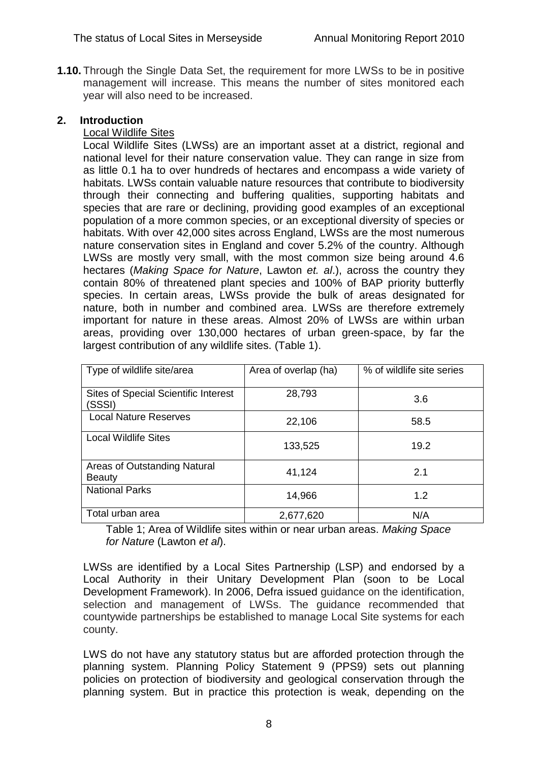**1.10.** Through the Single Data Set, the requirement for more LWSs to be in positive management will increase. This means the number of sites monitored each year will also need to be increased.

#### **2. Introduction**

# Local Wildlife Sites

Local Wildlife Sites (LWSs) are an important asset at a district, regional and national level for their nature conservation value. They can range in size from as little 0.1 ha to over hundreds of hectares and encompass a wide variety of habitats. LWSs contain valuable nature resources that contribute to biodiversity through their connecting and buffering qualities, supporting habitats and species that are rare or declining, providing good examples of an exceptional population of a more common species, or an exceptional diversity of species or habitats. With over 42,000 sites across England, LWSs are the most numerous nature conservation sites in England and cover 5.2% of the country. Although LWSs are mostly very small, with the most common size being around 4.6 hectares (*Making Space for Nature*, Lawton *et. al*.), across the country they contain 80% of threatened plant species and 100% of BAP priority butterfly species. In certain areas, LWSs provide the bulk of areas designated for nature, both in number and combined area. LWSs are therefore extremely important for nature in these areas. Almost 20% of LWSs are within urban areas, providing over 130,000 hectares of urban green-space, by far the largest contribution of any wildlife sites. (Table 1).

| Type of wildlife site/area                            | Area of overlap (ha) | % of wildlife site series |
|-------------------------------------------------------|----------------------|---------------------------|
| <b>Sites of Special Scientific Interest</b><br>(SSSI) | 28,793               | 3.6                       |
| <b>Local Nature Reserves</b>                          | 22,106               | 58.5                      |
| <b>Local Wildlife Sites</b>                           | 133,525              | 19.2                      |
| Areas of Outstanding Natural<br><b>Beauty</b>         | 41,124               | 2.1                       |
| <b>National Parks</b>                                 | 14,966               | 1.2                       |
| Total urban area                                      | 2,677,620            | N/A                       |

Table 1; Area of Wildlife sites within or near urban areas. *Making Space for Nature* (Lawton *et al*).

LWSs are identified by a Local Sites Partnership (LSP) and endorsed by a Local Authority in their Unitary Development Plan (soon to be Local Development Framework). In 2006, Defra issued guidance on the identification, selection and management of LWSs. The guidance recommended that countywide partnerships be established to manage Local Site systems for each county.

LWS do not have any statutory status but are afforded protection through the planning system. Planning Policy Statement 9 (PPS9) sets out planning policies on protection of biodiversity and geological conservation through the planning system. But in practice this protection is weak, depending on the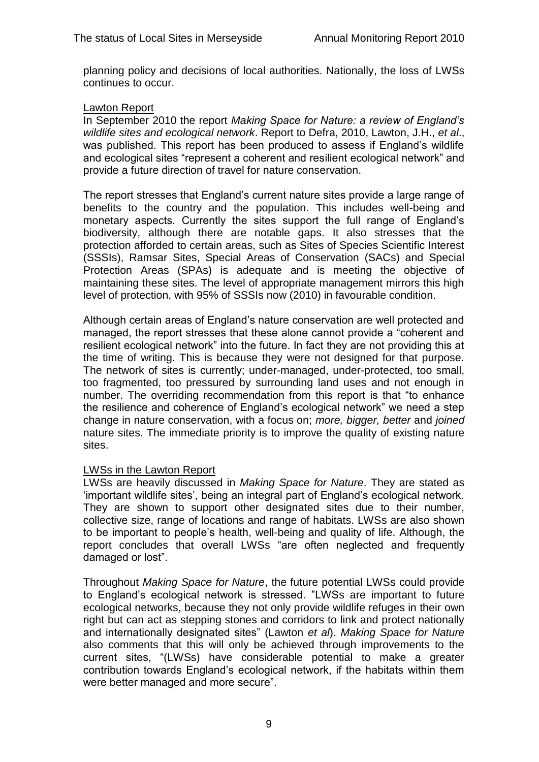planning policy and decisions of local authorities. Nationally, the loss of LWSs continues to occur.

#### Lawton Report

In September 2010 the report *Making Space for Nature: a review of England's wildlife sites and ecological network*. Report to Defra, 2010, Lawton, J.H., *et al*., was published. This report has been produced to assess if England"s wildlife and ecological sites "represent a coherent and resilient ecological network" and provide a future direction of travel for nature conservation.

The report stresses that England"s current nature sites provide a large range of benefits to the country and the population. This includes well-being and monetary aspects. Currently the sites support the full range of England"s biodiversity, although there are notable gaps. It also stresses that the protection afforded to certain areas, such as Sites of Species Scientific Interest (SSSIs), Ramsar Sites, Special Areas of Conservation (SACs) and Special Protection Areas (SPAs) is adequate and is meeting the objective of maintaining these sites. The level of appropriate management mirrors this high level of protection, with 95% of SSSIs now (2010) in favourable condition.

Although certain areas of England"s nature conservation are well protected and managed, the report stresses that these alone cannot provide a "coherent and resilient ecological network" into the future. In fact they are not providing this at the time of writing. This is because they were not designed for that purpose. The network of sites is currently; under-managed, under-protected, too small, too fragmented, too pressured by surrounding land uses and not enough in number. The overriding recommendation from this report is that "to enhance the resilience and coherence of England"s ecological network" we need a step change in nature conservation, with a focus on; *more, bigger, better* and *joined* nature sites. The immediate priority is to improve the quality of existing nature sites.

#### LWSs in the Lawton Report

LWSs are heavily discussed in *Making Space for Nature*. They are stated as "important wildlife sites", being an integral part of England"s ecological network. They are shown to support other designated sites due to their number, collective size, range of locations and range of habitats. LWSs are also shown to be important to people"s health, well-being and quality of life. Although, the report concludes that overall LWSs "are often neglected and frequently damaged or lost".

Throughout *Making Space for Nature*, the future potential LWSs could provide to England"s ecological network is stressed. "LWSs are important to future ecological networks, because they not only provide wildlife refuges in their own right but can act as stepping stones and corridors to link and protect nationally and internationally designated sites" (Lawton *et al*). *Making Space for Nature* also comments that this will only be achieved through improvements to the current sites, "(LWSs) have considerable potential to make a greater contribution towards England"s ecological network, if the habitats within them were better managed and more secure".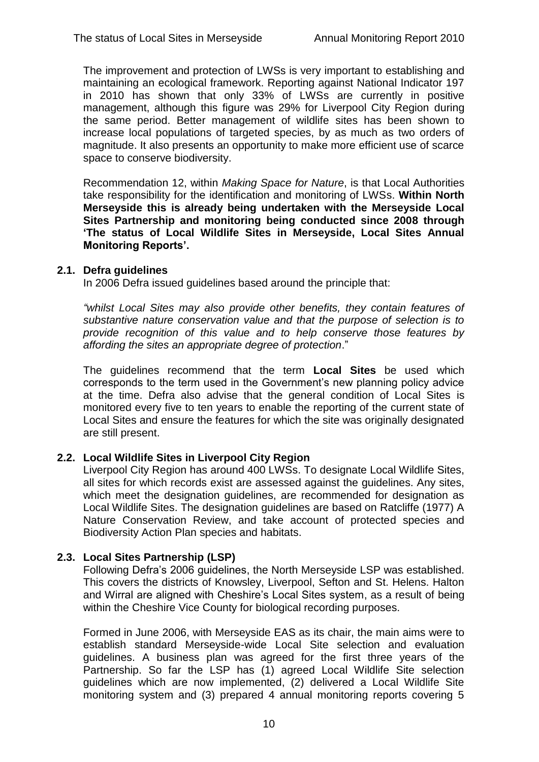The improvement and protection of LWSs is very important to establishing and maintaining an ecological framework. Reporting against National Indicator 197 in 2010 has shown that only 33% of LWSs are currently in positive management, although this figure was 29% for Liverpool City Region during the same period. Better management of wildlife sites has been shown to increase local populations of targeted species, by as much as two orders of magnitude. It also presents an opportunity to make more efficient use of scarce space to conserve biodiversity.

Recommendation 12, within *Making Space for Nature*, is that Local Authorities take responsibility for the identification and monitoring of LWSs. **Within North Merseyside this is already being undertaken with the Merseyside Local Sites Partnership and monitoring being conducted since 2008 through 'The status of Local Wildlife Sites in Merseyside, Local Sites Annual Monitoring Reports'.**

#### **2.1. Defra guidelines**

In 2006 Defra issued guidelines based around the principle that:

*"whilst Local Sites may also provide other benefits, they contain features of substantive nature conservation value and that the purpose of selection is to provide recognition of this value and to help conserve those features by affording the sites an appropriate degree of protection*."

The guidelines recommend that the term **Local Sites** be used which corresponds to the term used in the Government"s new planning policy advice at the time. Defra also advise that the general condition of Local Sites is monitored every five to ten years to enable the reporting of the current state of Local Sites and ensure the features for which the site was originally designated are still present.

# **2.2. Local Wildlife Sites in Liverpool City Region**

Liverpool City Region has around 400 LWSs. To designate Local Wildlife Sites, all sites for which records exist are assessed against the guidelines. Any sites, which meet the designation guidelines, are recommended for designation as Local Wildlife Sites. The designation guidelines are based on Ratcliffe (1977) A Nature Conservation Review, and take account of protected species and Biodiversity Action Plan species and habitats.

# **2.3. Local Sites Partnership (LSP)**

Following Defra"s 2006 guidelines, the North Merseyside LSP was established. This covers the districts of Knowsley, Liverpool, Sefton and St. Helens. Halton and Wirral are aligned with Cheshire"s Local Sites system, as a result of being within the Cheshire Vice County for biological recording purposes.

Formed in June 2006, with Merseyside EAS as its chair, the main aims were to establish standard Merseyside-wide Local Site selection and evaluation guidelines. A business plan was agreed for the first three years of the Partnership. So far the LSP has (1) agreed Local Wildlife Site selection guidelines which are now implemented, (2) delivered a Local Wildlife Site monitoring system and (3) prepared 4 annual monitoring reports covering 5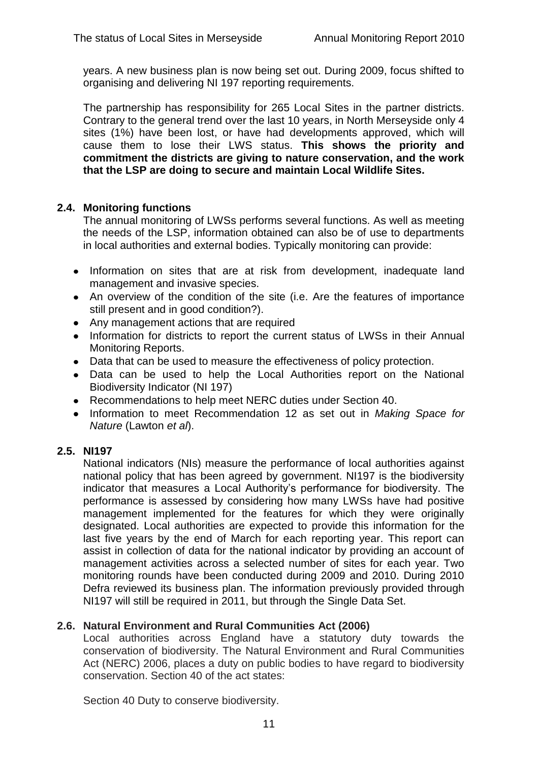years. A new business plan is now being set out. During 2009, focus shifted to organising and delivering NI 197 reporting requirements.

The partnership has responsibility for 265 Local Sites in the partner districts. Contrary to the general trend over the last 10 years, in North Merseyside only 4 sites (1%) have been lost, or have had developments approved, which will cause them to lose their LWS status. **This shows the priority and commitment the districts are giving to nature conservation, and the work that the LSP are doing to secure and maintain Local Wildlife Sites.** 

# **2.4. Monitoring functions**

The annual monitoring of LWSs performs several functions. As well as meeting the needs of the LSP, information obtained can also be of use to departments in local authorities and external bodies. Typically monitoring can provide:

- Information on sites that are at risk from development, inadequate land management and invasive species.
- An overview of the condition of the site (i.e. Are the features of importance still present and in good condition?).
- Any management actions that are required
- Information for districts to report the current status of LWSs in their Annual Monitoring Reports.
- Data that can be used to measure the effectiveness of policy protection.
- Data can be used to help the Local Authorities report on the National Biodiversity Indicator (NI 197)
- Recommendations to help meet NERC duties under Section 40.
- Information to meet Recommendation 12 as set out in *Making Space for Nature* (Lawton *et al*).

# **2.5. NI197**

National indicators (NIs) measure the performance of local authorities against national policy that has been agreed by government. NI197 is the biodiversity indicator that measures a Local Authority's performance for biodiversity. The performance is assessed by considering how many LWSs have had positive management implemented for the features for which they were originally designated. Local authorities are expected to provide this information for the last five years by the end of March for each reporting year. This report can assist in collection of data for the national indicator by providing an account of management activities across a selected number of sites for each year. Two monitoring rounds have been conducted during 2009 and 2010. During 2010 Defra reviewed its business plan. The information previously provided through NI197 will still be required in 2011, but through the Single Data Set.

# **2.6. Natural Environment and Rural Communities Act (2006)**

Local authorities across England have a statutory duty towards the conservation of biodiversity. The Natural Environment and Rural Communities Act (NERC) 2006, places a duty on public bodies to have regard to biodiversity conservation. Section 40 of the act states:

Section 40 Duty to conserve biodiversity.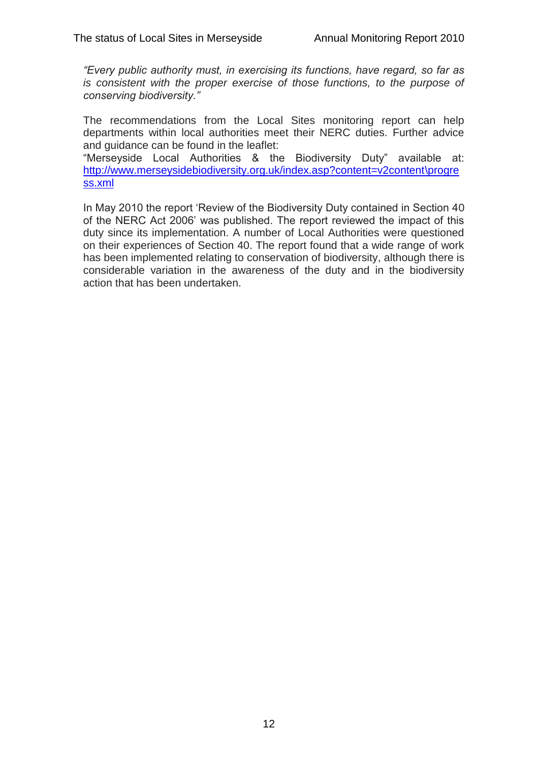*"Every public authority must, in exercising its functions, have regard, so far as is consistent with the proper exercise of those functions, to the purpose of conserving biodiversity."* 

The recommendations from the Local Sites monitoring report can help departments within local authorities meet their NERC duties. Further advice and guidance can be found in the leaflet:

"Merseyside Local Authorities & the Biodiversity Duty" available at: [http://www.merseysidebiodiversity.org.uk/index.asp?content=v2content\progre](http://www.merseysidebiodiversity.org.uk/index.asp?content=v2content/progress.xml) [ss.xml](http://www.merseysidebiodiversity.org.uk/index.asp?content=v2content/progress.xml)

In May 2010 the report "Review of the Biodiversity Duty contained in Section 40 of the NERC Act 2006" was published. The report reviewed the impact of this duty since its implementation. A number of Local Authorities were questioned on their experiences of Section 40. The report found that a wide range of work has been implemented relating to conservation of biodiversity, although there is considerable variation in the awareness of the duty and in the biodiversity action that has been undertaken.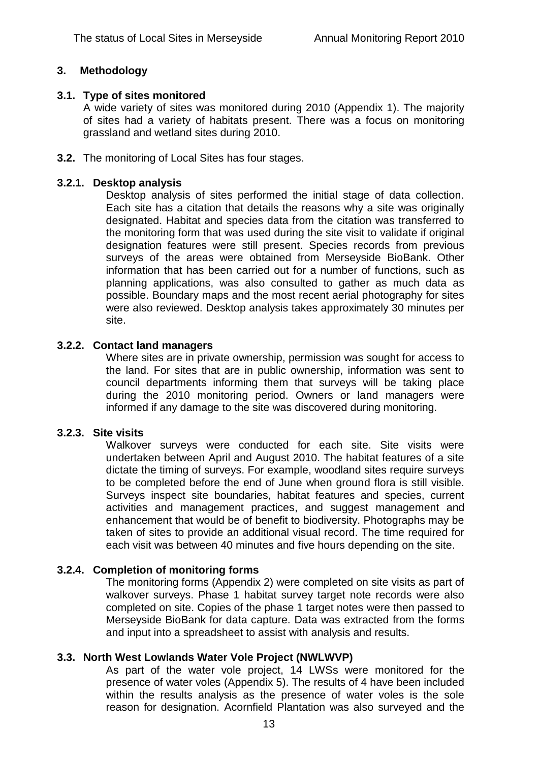#### **3. Methodology**

#### **3.1. Type of sites monitored**

A wide variety of sites was monitored during 2010 (Appendix 1). The majority of sites had a variety of habitats present. There was a focus on monitoring grassland and wetland sites during 2010.

**3.2.** The monitoring of Local Sites has four stages.

#### **3.2.1. Desktop analysis**

Desktop analysis of sites performed the initial stage of data collection. Each site has a citation that details the reasons why a site was originally designated. Habitat and species data from the citation was transferred to the monitoring form that was used during the site visit to validate if original designation features were still present. Species records from previous surveys of the areas were obtained from Merseyside BioBank. Other information that has been carried out for a number of functions, such as planning applications, was also consulted to gather as much data as possible. Boundary maps and the most recent aerial photography for sites were also reviewed. Desktop analysis takes approximately 30 minutes per site.

#### **3.2.2. Contact land managers**

Where sites are in private ownership, permission was sought for access to the land. For sites that are in public ownership, information was sent to council departments informing them that surveys will be taking place during the 2010 monitoring period. Owners or land managers were informed if any damage to the site was discovered during monitoring.

#### **3.2.3. Site visits**

Walkover surveys were conducted for each site. Site visits were undertaken between April and August 2010. The habitat features of a site dictate the timing of surveys. For example, woodland sites require surveys to be completed before the end of June when ground flora is still visible. Surveys inspect site boundaries, habitat features and species, current activities and management practices, and suggest management and enhancement that would be of benefit to biodiversity. Photographs may be taken of sites to provide an additional visual record. The time required for each visit was between 40 minutes and five hours depending on the site.

#### **3.2.4. Completion of monitoring forms**

The monitoring forms (Appendix 2) were completed on site visits as part of walkover surveys. Phase 1 habitat survey target note records were also completed on site. Copies of the phase 1 target notes were then passed to Merseyside BioBank for data capture. Data was extracted from the forms and input into a spreadsheet to assist with analysis and results.

#### **3.3. North West Lowlands Water Vole Project (NWLWVP)**

As part of the water vole project, 14 LWSs were monitored for the presence of water voles (Appendix 5). The results of 4 have been included within the results analysis as the presence of water voles is the sole reason for designation. Acornfield Plantation was also surveyed and the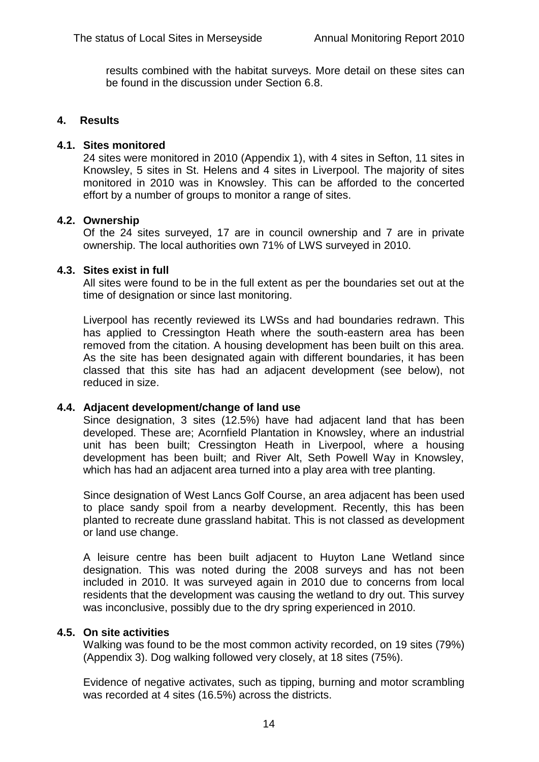results combined with the habitat surveys. More detail on these sites can be found in the discussion under Section 6.8.

#### **4. Results**

#### **4.1. Sites monitored**

24 sites were monitored in 2010 (Appendix 1), with 4 sites in Sefton, 11 sites in Knowsley, 5 sites in St. Helens and 4 sites in Liverpool. The majority of sites monitored in 2010 was in Knowsley. This can be afforded to the concerted effort by a number of groups to monitor a range of sites.

# **4.2. Ownership**

Of the 24 sites surveyed, 17 are in council ownership and 7 are in private ownership. The local authorities own 71% of LWS surveyed in 2010.

# **4.3. Sites exist in full**

All sites were found to be in the full extent as per the boundaries set out at the time of designation or since last monitoring.

Liverpool has recently reviewed its LWSs and had boundaries redrawn. This has applied to Cressington Heath where the south-eastern area has been removed from the citation. A housing development has been built on this area. As the site has been designated again with different boundaries, it has been classed that this site has had an adjacent development (see below), not reduced in size.

#### **4.4. Adjacent development/change of land use**

Since designation, 3 sites (12.5%) have had adjacent land that has been developed. These are; Acornfield Plantation in Knowsley, where an industrial unit has been built; Cressington Heath in Liverpool, where a housing development has been built; and River Alt, Seth Powell Way in Knowsley, which has had an adjacent area turned into a play area with tree planting.

Since designation of West Lancs Golf Course, an area adjacent has been used to place sandy spoil from a nearby development. Recently, this has been planted to recreate dune grassland habitat. This is not classed as development or land use change.

A leisure centre has been built adjacent to Huyton Lane Wetland since designation. This was noted during the 2008 surveys and has not been included in 2010. It was surveyed again in 2010 due to concerns from local residents that the development was causing the wetland to dry out. This survey was inconclusive, possibly due to the dry spring experienced in 2010.

# **4.5. On site activities**

Walking was found to be the most common activity recorded, on 19 sites (79%) (Appendix 3). Dog walking followed very closely, at 18 sites (75%).

Evidence of negative activates, such as tipping, burning and motor scrambling was recorded at 4 sites (16.5%) across the districts.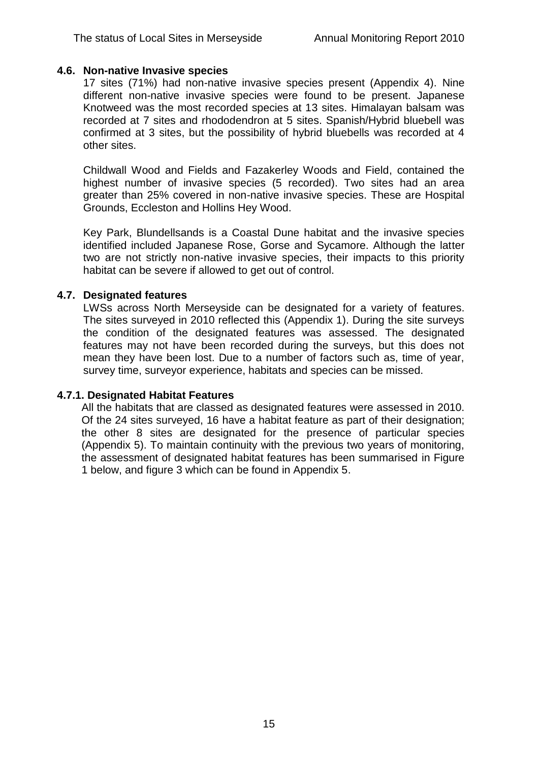#### **4.6. Non-native Invasive species**

17 sites (71%) had non-native invasive species present (Appendix 4). Nine different non-native invasive species were found to be present. Japanese Knotweed was the most recorded species at 13 sites. Himalayan balsam was recorded at 7 sites and rhododendron at 5 sites. Spanish/Hybrid bluebell was confirmed at 3 sites, but the possibility of hybrid bluebells was recorded at 4 other sites.

Childwall Wood and Fields and Fazakerley Woods and Field, contained the highest number of invasive species (5 recorded). Two sites had an area greater than 25% covered in non-native invasive species. These are Hospital Grounds, Eccleston and Hollins Hey Wood.

Key Park, Blundellsands is a Coastal Dune habitat and the invasive species identified included Japanese Rose, Gorse and Sycamore. Although the latter two are not strictly non-native invasive species, their impacts to this priority habitat can be severe if allowed to get out of control.

# **4.7. Designated features**

LWSs across North Merseyside can be designated for a variety of features. The sites surveyed in 2010 reflected this (Appendix 1). During the site surveys the condition of the designated features was assessed. The designated features may not have been recorded during the surveys, but this does not mean they have been lost. Due to a number of factors such as, time of year, survey time, surveyor experience, habitats and species can be missed.

#### **4.7.1. Designated Habitat Features**

All the habitats that are classed as designated features were assessed in 2010. Of the 24 sites surveyed, 16 have a habitat feature as part of their designation; the other 8 sites are designated for the presence of particular species (Appendix 5). To maintain continuity with the previous two years of monitoring, the assessment of designated habitat features has been summarised in Figure 1 below, and figure 3 which can be found in Appendix 5.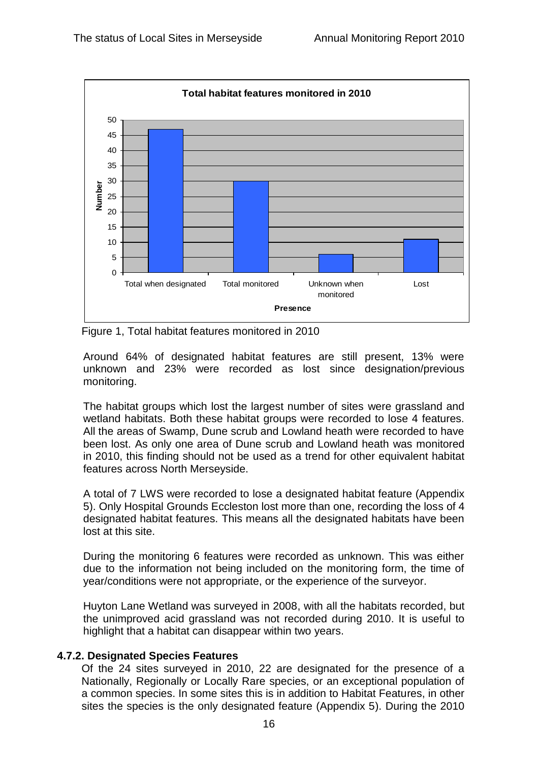

Figure 1, Total habitat features monitored in 2010

Around 64% of designated habitat features are still present, 13% were unknown and 23% were recorded as lost since designation/previous monitoring.

The habitat groups which lost the largest number of sites were grassland and wetland habitats. Both these habitat groups were recorded to lose 4 features. All the areas of Swamp, Dune scrub and Lowland heath were recorded to have been lost. As only one area of Dune scrub and Lowland heath was monitored in 2010, this finding should not be used as a trend for other equivalent habitat features across North Merseyside.

A total of 7 LWS were recorded to lose a designated habitat feature (Appendix 5). Only Hospital Grounds Eccleston lost more than one, recording the loss of 4 designated habitat features. This means all the designated habitats have been lost at this site.

During the monitoring 6 features were recorded as unknown. This was either due to the information not being included on the monitoring form, the time of year/conditions were not appropriate, or the experience of the surveyor.

Huyton Lane Wetland was surveyed in 2008, with all the habitats recorded, but the unimproved acid grassland was not recorded during 2010. It is useful to highlight that a habitat can disappear within two years.

# **4.7.2. Designated Species Features**

Of the 24 sites surveyed in 2010, 22 are designated for the presence of a Nationally, Regionally or Locally Rare species, or an exceptional population of a common species. In some sites this is in addition to Habitat Features, in other sites the species is the only designated feature (Appendix 5). During the 2010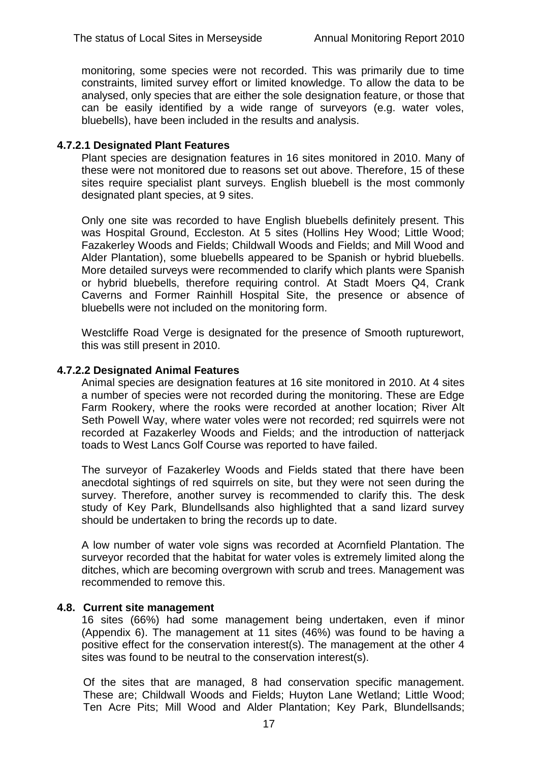monitoring, some species were not recorded. This was primarily due to time constraints, limited survey effort or limited knowledge. To allow the data to be analysed, only species that are either the sole designation feature, or those that can be easily identified by a wide range of surveyors (e.g. water voles, bluebells), have been included in the results and analysis.

#### **4.7.2.1 Designated Plant Features**

Plant species are designation features in 16 sites monitored in 2010. Many of these were not monitored due to reasons set out above. Therefore, 15 of these sites require specialist plant surveys. English bluebell is the most commonly designated plant species, at 9 sites.

Only one site was recorded to have English bluebells definitely present. This was Hospital Ground, Eccleston. At 5 sites (Hollins Hey Wood; Little Wood; Fazakerley Woods and Fields; Childwall Woods and Fields; and Mill Wood and Alder Plantation), some bluebells appeared to be Spanish or hybrid bluebells. More detailed surveys were recommended to clarify which plants were Spanish or hybrid bluebells, therefore requiring control. At Stadt Moers Q4, Crank Caverns and Former Rainhill Hospital Site, the presence or absence of bluebells were not included on the monitoring form.

Westcliffe Road Verge is designated for the presence of Smooth rupturewort, this was still present in 2010.

#### **4.7.2.2 Designated Animal Features**

Animal species are designation features at 16 site monitored in 2010. At 4 sites a number of species were not recorded during the monitoring. These are Edge Farm Rookery, where the rooks were recorded at another location; River Alt Seth Powell Way, where water voles were not recorded; red squirrels were not recorded at Fazakerley Woods and Fields; and the introduction of natterjack toads to West Lancs Golf Course was reported to have failed.

The surveyor of Fazakerley Woods and Fields stated that there have been anecdotal sightings of red squirrels on site, but they were not seen during the survey. Therefore, another survey is recommended to clarify this. The desk study of Key Park, Blundellsands also highlighted that a sand lizard survey should be undertaken to bring the records up to date.

A low number of water vole signs was recorded at Acornfield Plantation. The surveyor recorded that the habitat for water voles is extremely limited along the ditches, which are becoming overgrown with scrub and trees. Management was recommended to remove this.

#### **4.8. Current site management**

16 sites (66%) had some management being undertaken, even if minor (Appendix 6). The management at 11 sites (46%) was found to be having a positive effect for the conservation interest(s). The management at the other 4 sites was found to be neutral to the conservation interest(s).

Of the sites that are managed, 8 had conservation specific management. These are; Childwall Woods and Fields; Huyton Lane Wetland; Little Wood; Ten Acre Pits; Mill Wood and Alder Plantation; Key Park, Blundellsands;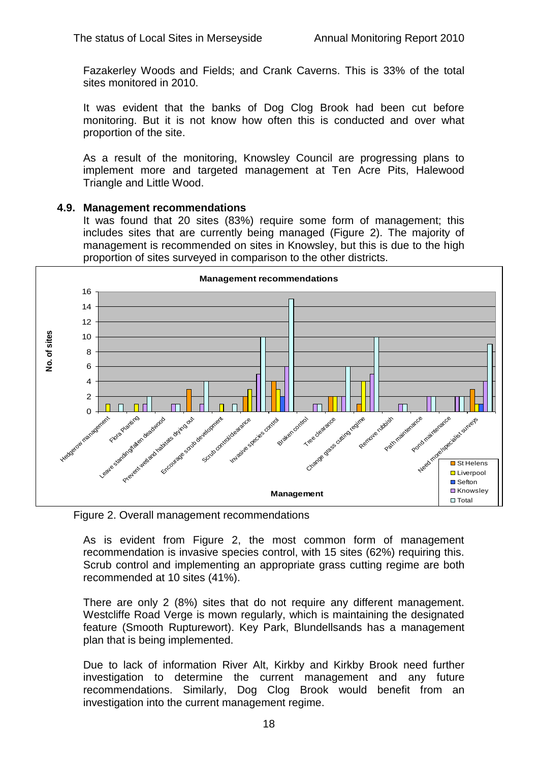Fazakerley Woods and Fields; and Crank Caverns. This is 33% of the total sites monitored in 2010.

It was evident that the banks of Dog Clog Brook had been cut before monitoring. But it is not know how often this is conducted and over what proportion of the site.

As a result of the monitoring, Knowsley Council are progressing plans to implement more and targeted management at Ten Acre Pits, Halewood Triangle and Little Wood.

#### **4.9. Management recommendations**

It was found that 20 sites (83%) require some form of management; this includes sites that are currently being managed (Figure 2). The majority of management is recommended on sites in Knowsley, but this is due to the high proportion of sites surveyed in comparison to the other districts.



Figure 2. Overall management recommendations

As is evident from Figure 2, the most common form of management recommendation is invasive species control, with 15 sites (62%) requiring this. Scrub control and implementing an appropriate grass cutting regime are both recommended at 10 sites (41%).

There are only 2 (8%) sites that do not require any different management. Westcliffe Road Verge is mown regularly, which is maintaining the designated feature (Smooth Rupturewort). Key Park, Blundellsands has a management plan that is being implemented.

Due to lack of information River Alt, Kirkby and Kirkby Brook need further investigation to determine the current management and any future recommendations. Similarly, Dog Clog Brook would benefit from an investigation into the current management regime.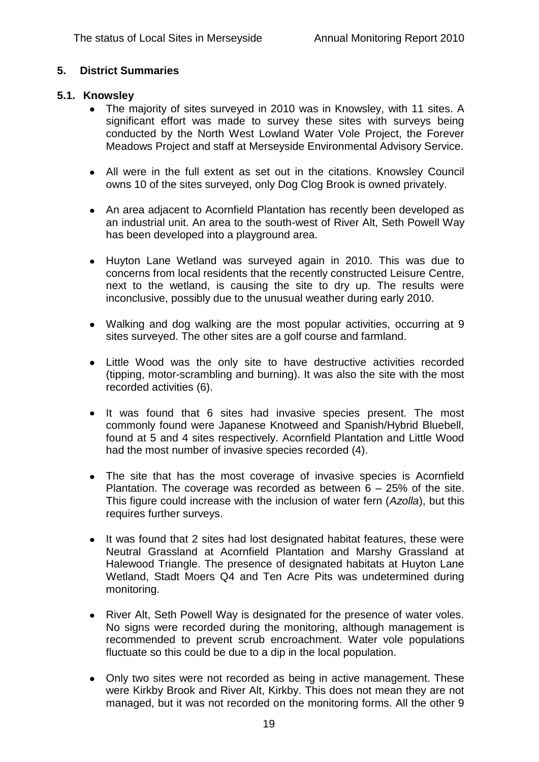# **5. District Summaries**

#### **5.1. Knowsley**

- The majority of sites surveyed in 2010 was in Knowsley, with 11 sites. A significant effort was made to survey these sites with surveys being conducted by the North West Lowland Water Vole Project, the Forever Meadows Project and staff at Merseyside Environmental Advisory Service.
- All were in the full extent as set out in the citations. Knowsley Council owns 10 of the sites surveyed, only Dog Clog Brook is owned privately.
- An area adjacent to Acornfield Plantation has recently been developed as an industrial unit. An area to the south-west of River Alt, Seth Powell Way has been developed into a playground area.
- Huyton Lane Wetland was surveyed again in 2010. This was due to concerns from local residents that the recently constructed Leisure Centre, next to the wetland, is causing the site to dry up. The results were inconclusive, possibly due to the unusual weather during early 2010.
- Walking and dog walking are the most popular activities, occurring at 9 sites surveyed. The other sites are a golf course and farmland.
- Little Wood was the only site to have destructive activities recorded (tipping, motor-scrambling and burning). It was also the site with the most recorded activities (6).
- It was found that 6 sites had invasive species present. The most commonly found were Japanese Knotweed and Spanish/Hybrid Bluebell, found at 5 and 4 sites respectively. Acornfield Plantation and Little Wood had the most number of invasive species recorded (4).
- The site that has the most coverage of invasive species is Acornfield  $\bullet$ Plantation. The coverage was recorded as between 6 – 25% of the site. This figure could increase with the inclusion of water fern (*Azolla*), but this requires further surveys.
- It was found that 2 sites had lost designated habitat features, these were  $\bullet$ Neutral Grassland at Acornfield Plantation and Marshy Grassland at Halewood Triangle. The presence of designated habitats at Huyton Lane Wetland, Stadt Moers Q4 and Ten Acre Pits was undetermined during monitoring.
- River Alt, Seth Powell Way is designated for the presence of water voles.  $\bullet$ No signs were recorded during the monitoring, although management is recommended to prevent scrub encroachment. Water vole populations fluctuate so this could be due to a dip in the local population.
- Only two sites were not recorded as being in active management. These were Kirkby Brook and River Alt, Kirkby. This does not mean they are not managed, but it was not recorded on the monitoring forms. All the other 9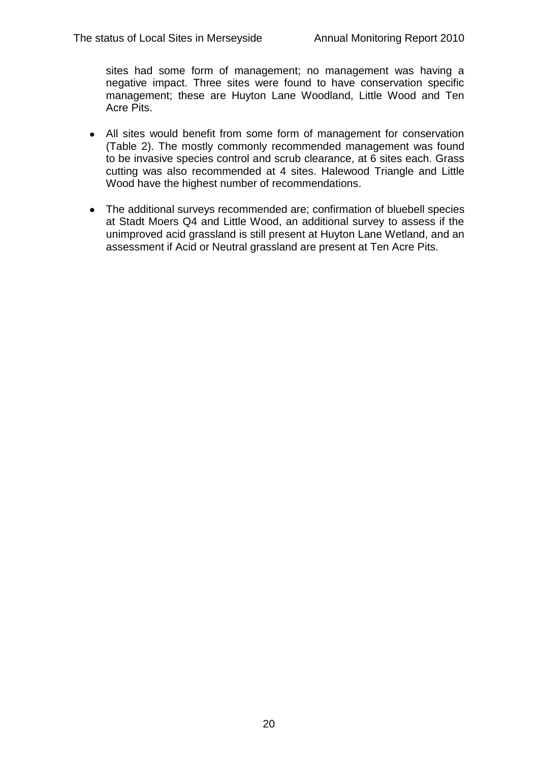sites had some form of management; no management was having a negative impact. Three sites were found to have conservation specific management; these are Huyton Lane Woodland, Little Wood and Ten Acre Pits.

- All sites would benefit from some form of management for conservation (Table 2). The mostly commonly recommended management was found to be invasive species control and scrub clearance, at 6 sites each. Grass cutting was also recommended at 4 sites. Halewood Triangle and Little Wood have the highest number of recommendations.
- The additional surveys recommended are; confirmation of bluebell species at Stadt Moers Q4 and Little Wood, an additional survey to assess if the unimproved acid grassland is still present at Huyton Lane Wetland, and an assessment if Acid or Neutral grassland are present at Ten Acre Pits.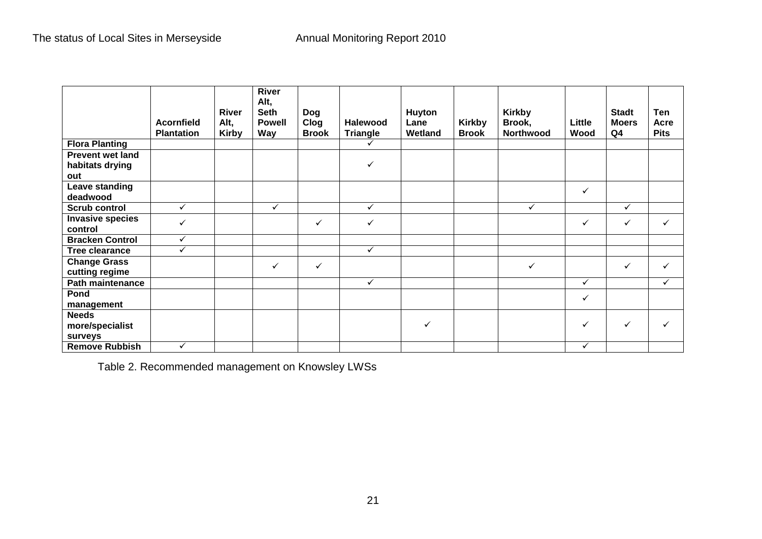|                                            | Acornfield<br><b>Plantation</b> | <b>River</b><br>Alt,<br><b>Kirby</b> | <b>River</b><br>Alt,<br><b>Seth</b><br><b>Powell</b><br>Way | <b>Dog</b><br>Clog<br><b>Brook</b> | <b>Halewood</b><br><b>Triangle</b> | Huyton<br>Lane<br>Wetland | <b>Kirkby</b><br><b>Brook</b> | <b>Kirkby</b><br>Brook,<br>Northwood | Little<br>Wood | <b>Stadt</b><br><b>Moers</b><br>Q <sub>4</sub> | Ten<br>Acre<br><b>Pits</b> |
|--------------------------------------------|---------------------------------|--------------------------------------|-------------------------------------------------------------|------------------------------------|------------------------------------|---------------------------|-------------------------------|--------------------------------------|----------------|------------------------------------------------|----------------------------|
| <b>Flora Planting</b>                      |                                 |                                      |                                                             |                                    |                                    |                           |                               |                                      |                |                                                |                            |
| <b>Prevent wet land</b>                    |                                 |                                      |                                                             |                                    |                                    |                           |                               |                                      |                |                                                |                            |
| habitats drying                            |                                 |                                      |                                                             |                                    | ✓                                  |                           |                               |                                      |                |                                                |                            |
| out                                        |                                 |                                      |                                                             |                                    |                                    |                           |                               |                                      |                |                                                |                            |
| Leave standing<br>deadwood                 |                                 |                                      |                                                             |                                    |                                    |                           |                               |                                      | ✓              |                                                |                            |
| <b>Scrub control</b>                       | $\checkmark$                    |                                      | $\checkmark$                                                |                                    | $\checkmark$                       |                           |                               | ✓                                    |                | $\checkmark$                                   |                            |
| <b>Invasive species</b><br>control         | $\checkmark$                    |                                      |                                                             | ✓                                  | ✓                                  |                           |                               |                                      | ✓              | ✓                                              | ✓                          |
| <b>Bracken Control</b>                     | $\checkmark$                    |                                      |                                                             |                                    |                                    |                           |                               |                                      |                |                                                |                            |
| <b>Tree clearance</b>                      | $\checkmark$                    |                                      |                                                             |                                    | $\checkmark$                       |                           |                               |                                      |                |                                                |                            |
| <b>Change Grass</b><br>cutting regime      |                                 |                                      | ✓                                                           | ✓                                  |                                    |                           |                               | $\checkmark$                         |                | ✓                                              | ✓                          |
| Path maintenance                           |                                 |                                      |                                                             |                                    | ✓                                  |                           |                               |                                      | $\checkmark$   |                                                | ✓                          |
| Pond                                       |                                 |                                      |                                                             |                                    |                                    |                           |                               |                                      | ✓              |                                                |                            |
| management                                 |                                 |                                      |                                                             |                                    |                                    |                           |                               |                                      |                |                                                |                            |
| <b>Needs</b><br>more/specialist<br>surveys |                                 |                                      |                                                             |                                    |                                    | ✓                         |                               |                                      | ✓              | ✓                                              |                            |
| <b>Remove Rubbish</b>                      | $\checkmark$                    |                                      |                                                             |                                    |                                    |                           |                               |                                      | ✓              |                                                |                            |

Table 2. Recommended management on Knowsley LWSs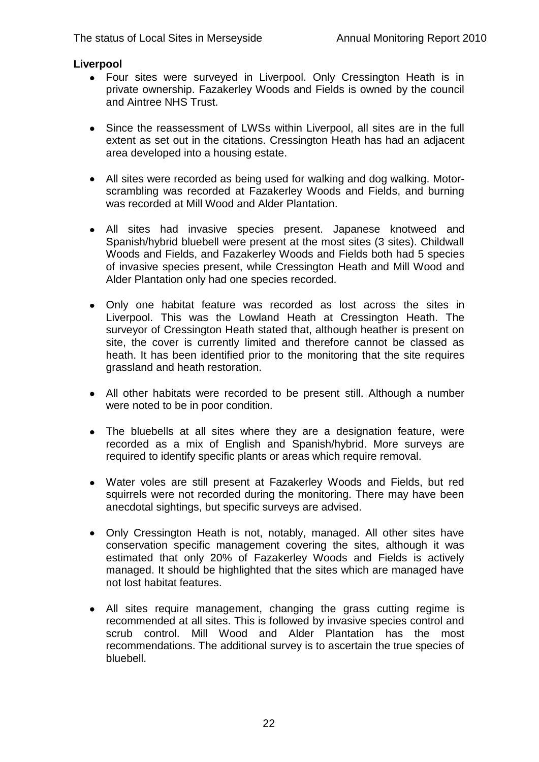# **Liverpool**

- Four sites were surveyed in Liverpool. Only Cressington Heath is in private ownership. Fazakerley Woods and Fields is owned by the council and Aintree NHS Trust.
- Since the reassessment of LWSs within Liverpool, all sites are in the full extent as set out in the citations. Cressington Heath has had an adjacent area developed into a housing estate.
- All sites were recorded as being used for walking and dog walking. Motorscrambling was recorded at Fazakerley Woods and Fields, and burning was recorded at Mill Wood and Alder Plantation.
- All sites had invasive species present. Japanese knotweed and Spanish/hybrid bluebell were present at the most sites (3 sites). Childwall Woods and Fields, and Fazakerley Woods and Fields both had 5 species of invasive species present, while Cressington Heath and Mill Wood and Alder Plantation only had one species recorded.
- Only one habitat feature was recorded as lost across the sites in Liverpool. This was the Lowland Heath at Cressington Heath. The surveyor of Cressington Heath stated that, although heather is present on site, the cover is currently limited and therefore cannot be classed as heath. It has been identified prior to the monitoring that the site requires grassland and heath restoration.
- All other habitats were recorded to be present still. Although a number were noted to be in poor condition.
- The bluebells at all sites where they are a designation feature, were recorded as a mix of English and Spanish/hybrid. More surveys are required to identify specific plants or areas which require removal.
- Water voles are still present at Fazakerley Woods and Fields, but red squirrels were not recorded during the monitoring. There may have been anecdotal sightings, but specific surveys are advised.
- Only Cressington Heath is not, notably, managed. All other sites have conservation specific management covering the sites, although it was estimated that only 20% of Fazakerley Woods and Fields is actively managed. It should be highlighted that the sites which are managed have not lost habitat features.
- All sites require management, changing the grass cutting regime is recommended at all sites. This is followed by invasive species control and scrub control. Mill Wood and Alder Plantation has the most recommendations. The additional survey is to ascertain the true species of bluebell.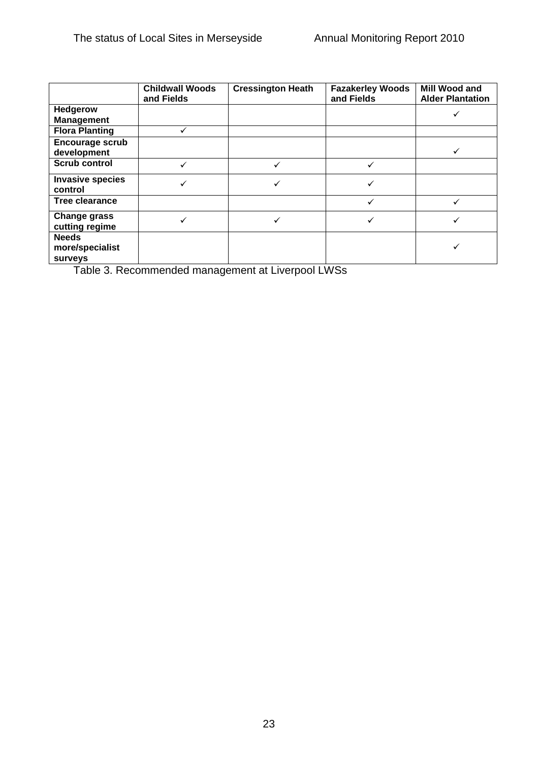|                                                   | <b>Childwall Woods</b><br>and Fields | <b>Cressington Heath</b> | <b>Fazakerley Woods</b><br>and Fields | Mill Wood and<br><b>Alder Plantation</b> |
|---------------------------------------------------|--------------------------------------|--------------------------|---------------------------------------|------------------------------------------|
| <b>Hedgerow</b>                                   |                                      |                          |                                       |                                          |
| <b>Management</b>                                 |                                      |                          |                                       |                                          |
| <b>Flora Planting</b>                             |                                      |                          |                                       |                                          |
| Encourage scrub                                   |                                      |                          |                                       |                                          |
| development                                       |                                      |                          |                                       |                                          |
| <b>Scrub control</b>                              | $\checkmark$                         |                          |                                       |                                          |
| <b>Invasive species</b><br>control                |                                      |                          |                                       |                                          |
| Tree clearance                                    |                                      |                          |                                       |                                          |
| <b>Change grass</b><br>cutting regime             |                                      |                          |                                       |                                          |
| <b>Needs</b><br>more/specialist<br><b>surveys</b> |                                      |                          |                                       |                                          |

Table 3. Recommended management at Liverpool LWSs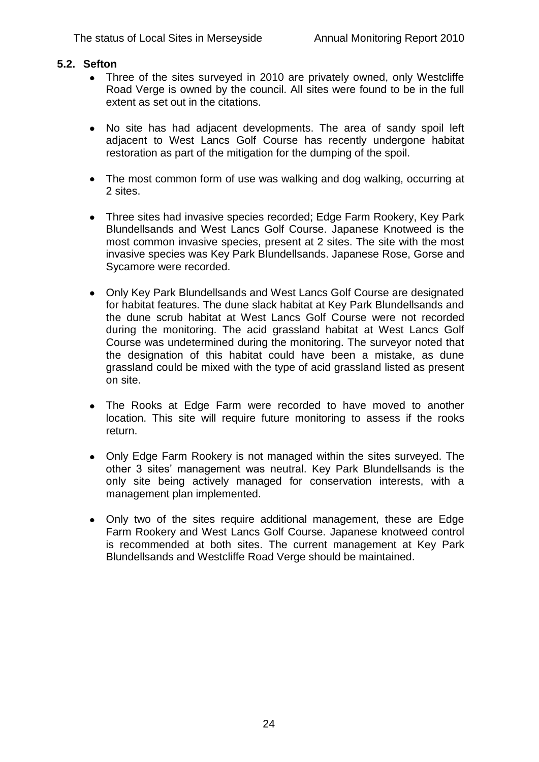#### **5.2. Sefton**

- Three of the sites surveyed in 2010 are privately owned, only Westcliffe Road Verge is owned by the council. All sites were found to be in the full extent as set out in the citations.
- No site has had adjacent developments. The area of sandy spoil left adjacent to West Lancs Golf Course has recently undergone habitat restoration as part of the mitigation for the dumping of the spoil.
- The most common form of use was walking and dog walking, occurring at 2 sites.
- Three sites had invasive species recorded; Edge Farm Rookery, Key Park  $\bullet$ Blundellsands and West Lancs Golf Course. Japanese Knotweed is the most common invasive species, present at 2 sites. The site with the most invasive species was Key Park Blundellsands. Japanese Rose, Gorse and Sycamore were recorded.
- Only Key Park Blundellsands and West Lancs Golf Course are designated for habitat features. The dune slack habitat at Key Park Blundellsands and the dune scrub habitat at West Lancs Golf Course were not recorded during the monitoring. The acid grassland habitat at West Lancs Golf Course was undetermined during the monitoring. The surveyor noted that the designation of this habitat could have been a mistake, as dune grassland could be mixed with the type of acid grassland listed as present on site.
- The Rooks at Edge Farm were recorded to have moved to another  $\bullet$ location. This site will require future monitoring to assess if the rooks return.
- Only Edge Farm Rookery is not managed within the sites surveyed. The other 3 sites" management was neutral. Key Park Blundellsands is the only site being actively managed for conservation interests, with a management plan implemented.
- Only two of the sites require additional management, these are Edge Farm Rookery and West Lancs Golf Course. Japanese knotweed control is recommended at both sites. The current management at Key Park Blundellsands and Westcliffe Road Verge should be maintained.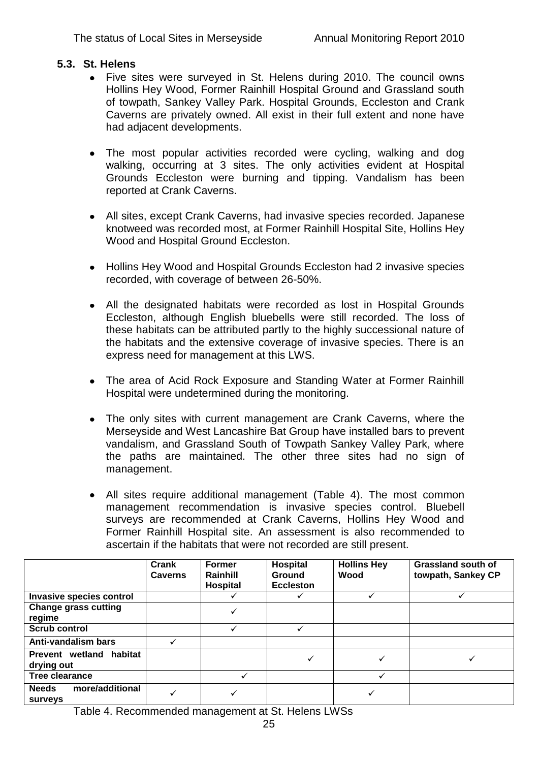#### **5.3. St. Helens**

- Five sites were surveyed in St. Helens during 2010. The council owns Hollins Hey Wood, Former Rainhill Hospital Ground and Grassland south of towpath, Sankey Valley Park. Hospital Grounds, Eccleston and Crank Caverns are privately owned. All exist in their full extent and none have had adjacent developments.
- The most popular activities recorded were cycling, walking and dog  $\bullet$ walking, occurring at 3 sites. The only activities evident at Hospital Grounds Eccleston were burning and tipping. Vandalism has been reported at Crank Caverns.
- All sites, except Crank Caverns, had invasive species recorded. Japanese knotweed was recorded most, at Former Rainhill Hospital Site, Hollins Hey Wood and Hospital Ground Eccleston.
- Hollins Hey Wood and Hospital Grounds Eccleston had 2 invasive species recorded, with coverage of between 26-50%.
- All the designated habitats were recorded as lost in Hospital Grounds Eccleston, although English bluebells were still recorded. The loss of these habitats can be attributed partly to the highly successional nature of the habitats and the extensive coverage of invasive species. There is an express need for management at this LWS.
- The area of Acid Rock Exposure and Standing Water at Former Rainhill Hospital were undetermined during the monitoring.
- $\bullet$ The only sites with current management are Crank Caverns, where the Merseyside and West Lancashire Bat Group have installed bars to prevent vandalism, and Grassland South of Towpath Sankey Valley Park, where the paths are maintained. The other three sites had no sign of management.
- All sites require additional management (Table 4). The most common management recommendation is invasive species control. Bluebell surveys are recommended at Crank Caverns, Hollins Hey Wood and Former Rainhill Hospital site. An assessment is also recommended to ascertain if the habitats that were not recorded are still present.

|                                                   | Crank<br><b>Caverns</b> | <b>Former</b><br>Rainhill<br><b>Hospital</b> | <b>Hospital</b><br><b>Ground</b><br><b>Eccleston</b> | <b>Hollins Hey</b><br>Wood | Grassland south of<br>towpath, Sankey CP |
|---------------------------------------------------|-------------------------|----------------------------------------------|------------------------------------------------------|----------------------------|------------------------------------------|
| Invasive species control                          |                         |                                              |                                                      |                            |                                          |
| <b>Change grass cutting</b><br>regime             |                         | ✓                                            |                                                      |                            |                                          |
| <b>Scrub control</b>                              |                         | ✓                                            | ✓                                                    |                            |                                          |
| Anti-vandalism bars                               |                         |                                              |                                                      |                            |                                          |
| habitat<br><b>Prevent wetland</b><br>drying out   |                         |                                              |                                                      |                            |                                          |
| Tree clearance                                    |                         |                                              |                                                      |                            |                                          |
| more/additional<br><b>Needs</b><br><b>surveys</b> | ✓                       |                                              |                                                      |                            |                                          |

Table 4. Recommended management at St. Helens LWSs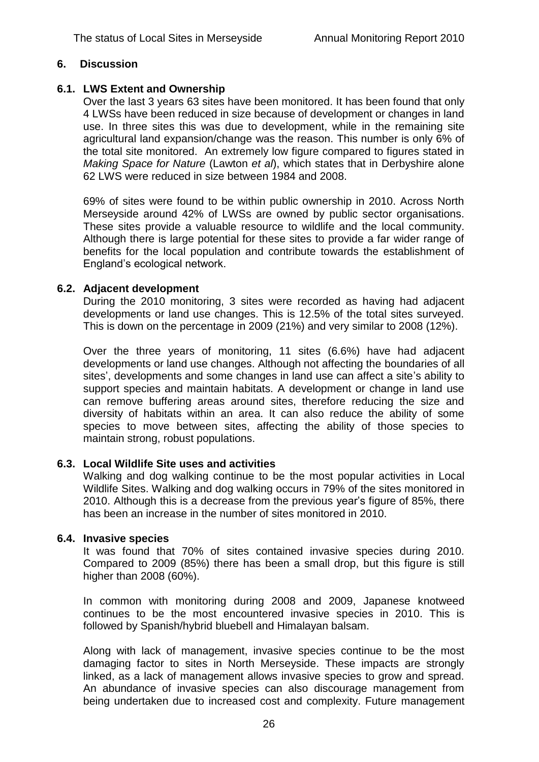#### **6. Discussion**

# **6.1. LWS Extent and Ownership**

Over the last 3 years 63 sites have been monitored. It has been found that only 4 LWSs have been reduced in size because of development or changes in land use. In three sites this was due to development, while in the remaining site agricultural land expansion/change was the reason. This number is only 6% of the total site monitored. An extremely low figure compared to figures stated in *Making Space for Nature* (Lawton *et al*), which states that in Derbyshire alone 62 LWS were reduced in size between 1984 and 2008.

69% of sites were found to be within public ownership in 2010. Across North Merseyside around 42% of LWSs are owned by public sector organisations. These sites provide a valuable resource to wildlife and the local community. Although there is large potential for these sites to provide a far wider range of benefits for the local population and contribute towards the establishment of England"s ecological network.

# **6.2. Adjacent development**

During the 2010 monitoring, 3 sites were recorded as having had adjacent developments or land use changes. This is 12.5% of the total sites surveyed. This is down on the percentage in 2009 (21%) and very similar to 2008 (12%).

Over the three years of monitoring, 11 sites (6.6%) have had adjacent developments or land use changes. Although not affecting the boundaries of all sites', developments and some changes in land use can affect a site's ability to support species and maintain habitats. A development or change in land use can remove buffering areas around sites, therefore reducing the size and diversity of habitats within an area. It can also reduce the ability of some species to move between sites, affecting the ability of those species to maintain strong, robust populations.

#### **6.3. Local Wildlife Site uses and activities**

Walking and dog walking continue to be the most popular activities in Local Wildlife Sites. Walking and dog walking occurs in 79% of the sites monitored in 2010. Although this is a decrease from the previous year"s figure of 85%, there has been an increase in the number of sites monitored in 2010.

# **6.4. Invasive species**

It was found that 70% of sites contained invasive species during 2010. Compared to 2009 (85%) there has been a small drop, but this figure is still higher than 2008 (60%).

In common with monitoring during 2008 and 2009, Japanese knotweed continues to be the most encountered invasive species in 2010. This is followed by Spanish/hybrid bluebell and Himalayan balsam.

Along with lack of management, invasive species continue to be the most damaging factor to sites in North Merseyside. These impacts are strongly linked, as a lack of management allows invasive species to grow and spread. An abundance of invasive species can also discourage management from being undertaken due to increased cost and complexity. Future management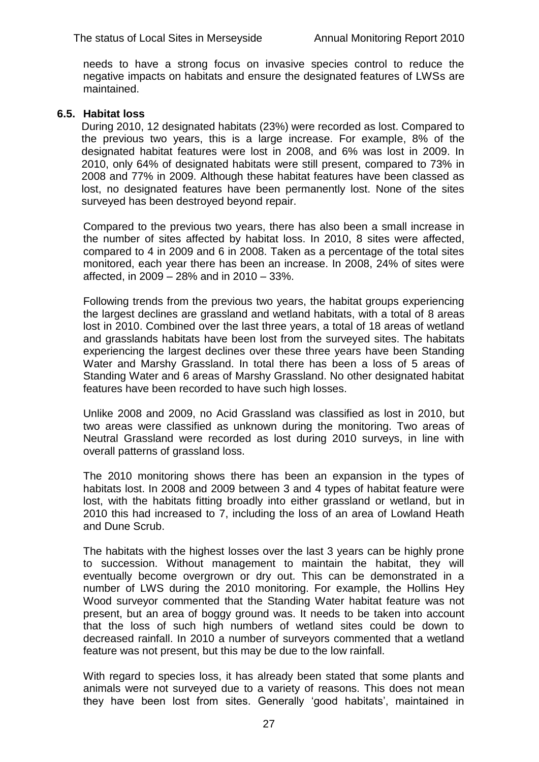needs to have a strong focus on invasive species control to reduce the negative impacts on habitats and ensure the designated features of LWSs are maintained.

#### **6.5. Habitat loss**

During 2010, 12 designated habitats (23%) were recorded as lost. Compared to the previous two years, this is a large increase. For example, 8% of the designated habitat features were lost in 2008, and 6% was lost in 2009. In 2010, only 64% of designated habitats were still present, compared to 73% in 2008 and 77% in 2009. Although these habitat features have been classed as lost, no designated features have been permanently lost. None of the sites surveyed has been destroyed beyond repair.

Compared to the previous two years, there has also been a small increase in the number of sites affected by habitat loss. In 2010, 8 sites were affected, compared to 4 in 2009 and 6 in 2008. Taken as a percentage of the total sites monitored, each year there has been an increase. In 2008, 24% of sites were affected, in 2009 – 28% and in 2010 – 33%.

Following trends from the previous two years, the habitat groups experiencing the largest declines are grassland and wetland habitats, with a total of 8 areas lost in 2010. Combined over the last three years, a total of 18 areas of wetland and grasslands habitats have been lost from the surveyed sites. The habitats experiencing the largest declines over these three years have been Standing Water and Marshy Grassland. In total there has been a loss of 5 areas of Standing Water and 6 areas of Marshy Grassland. No other designated habitat features have been recorded to have such high losses.

Unlike 2008 and 2009, no Acid Grassland was classified as lost in 2010, but two areas were classified as unknown during the monitoring. Two areas of Neutral Grassland were recorded as lost during 2010 surveys, in line with overall patterns of grassland loss.

The 2010 monitoring shows there has been an expansion in the types of habitats lost. In 2008 and 2009 between 3 and 4 types of habitat feature were lost, with the habitats fitting broadly into either grassland or wetland, but in 2010 this had increased to 7, including the loss of an area of Lowland Heath and Dune Scrub.

The habitats with the highest losses over the last 3 years can be highly prone to succession. Without management to maintain the habitat, they will eventually become overgrown or dry out. This can be demonstrated in a number of LWS during the 2010 monitoring. For example, the Hollins Hey Wood surveyor commented that the Standing Water habitat feature was not present, but an area of boggy ground was. It needs to be taken into account that the loss of such high numbers of wetland sites could be down to decreased rainfall. In 2010 a number of surveyors commented that a wetland feature was not present, but this may be due to the low rainfall.

With regard to species loss, it has already been stated that some plants and animals were not surveyed due to a variety of reasons. This does not mean they have been lost from sites. Generally "good habitats", maintained in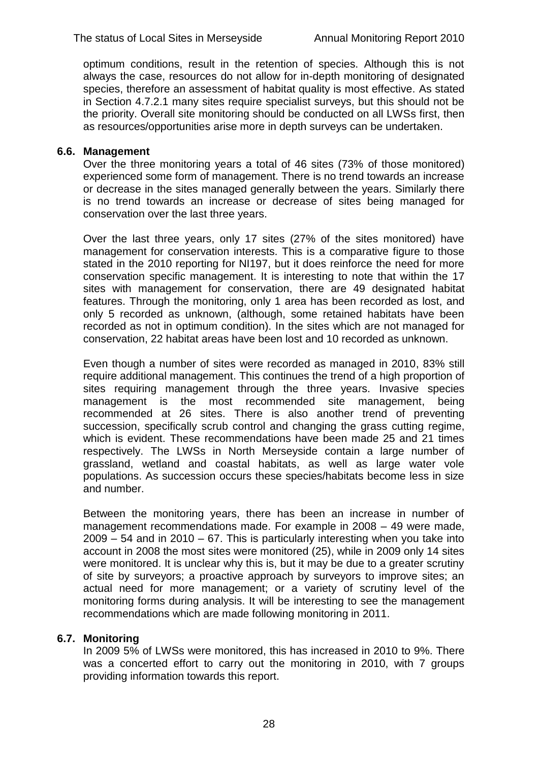optimum conditions, result in the retention of species. Although this is not always the case, resources do not allow for in-depth monitoring of designated species, therefore an assessment of habitat quality is most effective. As stated in Section 4.7.2.1 many sites require specialist surveys, but this should not be the priority. Overall site monitoring should be conducted on all LWSs first, then as resources/opportunities arise more in depth surveys can be undertaken.

# **6.6. Management**

Over the three monitoring years a total of 46 sites (73% of those monitored) experienced some form of management. There is no trend towards an increase or decrease in the sites managed generally between the years. Similarly there is no trend towards an increase or decrease of sites being managed for conservation over the last three years.

Over the last three years, only 17 sites (27% of the sites monitored) have management for conservation interests. This is a comparative figure to those stated in the 2010 reporting for NI197, but it does reinforce the need for more conservation specific management. It is interesting to note that within the 17 sites with management for conservation, there are 49 designated habitat features. Through the monitoring, only 1 area has been recorded as lost, and only 5 recorded as unknown, (although, some retained habitats have been recorded as not in optimum condition). In the sites which are not managed for conservation, 22 habitat areas have been lost and 10 recorded as unknown.

Even though a number of sites were recorded as managed in 2010, 83% still require additional management. This continues the trend of a high proportion of sites requiring management through the three years. Invasive species management is the most recommended site management, being recommended at 26 sites. There is also another trend of preventing succession, specifically scrub control and changing the grass cutting regime, which is evident. These recommendations have been made 25 and 21 times respectively. The LWSs in North Merseyside contain a large number of grassland, wetland and coastal habitats, as well as large water vole populations. As succession occurs these species/habitats become less in size and number.

Between the monitoring years, there has been an increase in number of management recommendations made. For example in 2008 – 49 were made, 2009 – 54 and in 2010 – 67. This is particularly interesting when you take into account in 2008 the most sites were monitored (25), while in 2009 only 14 sites were monitored. It is unclear why this is, but it may be due to a greater scrutiny of site by surveyors; a proactive approach by surveyors to improve sites; an actual need for more management; or a variety of scrutiny level of the monitoring forms during analysis. It will be interesting to see the management recommendations which are made following monitoring in 2011.

# **6.7. Monitoring**

In 2009 5% of LWSs were monitored, this has increased in 2010 to 9%. There was a concerted effort to carry out the monitoring in 2010, with 7 groups providing information towards this report.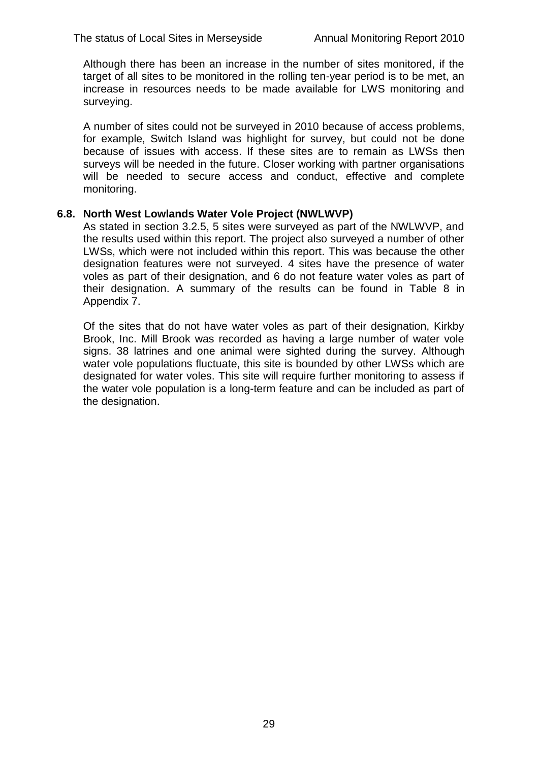Although there has been an increase in the number of sites monitored, if the target of all sites to be monitored in the rolling ten-year period is to be met, an increase in resources needs to be made available for LWS monitoring and surveying.

A number of sites could not be surveyed in 2010 because of access problems, for example, Switch Island was highlight for survey, but could not be done because of issues with access. If these sites are to remain as LWSs then surveys will be needed in the future. Closer working with partner organisations will be needed to secure access and conduct, effective and complete monitoring.

#### **6.8. North West Lowlands Water Vole Project (NWLWVP)**

As stated in section 3.2.5, 5 sites were surveyed as part of the NWLWVP, and the results used within this report. The project also surveyed a number of other LWSs, which were not included within this report. This was because the other designation features were not surveyed. 4 sites have the presence of water voles as part of their designation, and 6 do not feature water voles as part of their designation. A summary of the results can be found in Table 8 in Appendix 7.

Of the sites that do not have water voles as part of their designation, Kirkby Brook, Inc. Mill Brook was recorded as having a large number of water vole signs. 38 latrines and one animal were sighted during the survey. Although water vole populations fluctuate, this site is bounded by other LWSs which are designated for water voles. This site will require further monitoring to assess if the water vole population is a long-term feature and can be included as part of the designation.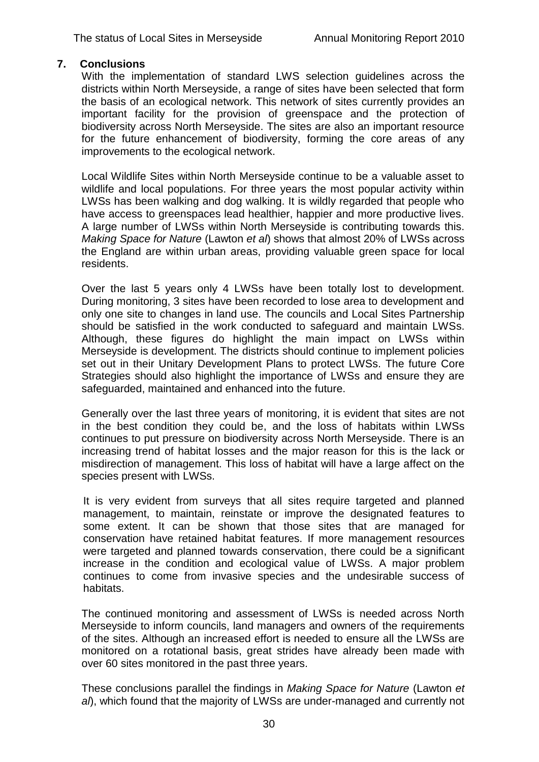#### **7. Conclusions**

With the implementation of standard LWS selection guidelines across the districts within North Merseyside, a range of sites have been selected that form the basis of an ecological network. This network of sites currently provides an important facility for the provision of greenspace and the protection of biodiversity across North Merseyside. The sites are also an important resource for the future enhancement of biodiversity, forming the core areas of any improvements to the ecological network.

Local Wildlife Sites within North Merseyside continue to be a valuable asset to wildlife and local populations. For three years the most popular activity within LWSs has been walking and dog walking. It is wildly regarded that people who have access to greenspaces lead healthier, happier and more productive lives. A large number of LWSs within North Merseyside is contributing towards this. *Making Space for Nature* (Lawton *et al*) shows that almost 20% of LWSs across the England are within urban areas, providing valuable green space for local residents.

Over the last 5 years only 4 LWSs have been totally lost to development. During monitoring, 3 sites have been recorded to lose area to development and only one site to changes in land use. The councils and Local Sites Partnership should be satisfied in the work conducted to safeguard and maintain LWSs. Although, these figures do highlight the main impact on LWSs within Merseyside is development. The districts should continue to implement policies set out in their Unitary Development Plans to protect LWSs. The future Core Strategies should also highlight the importance of LWSs and ensure they are safeguarded, maintained and enhanced into the future.

Generally over the last three years of monitoring, it is evident that sites are not in the best condition they could be, and the loss of habitats within LWSs continues to put pressure on biodiversity across North Merseyside. There is an increasing trend of habitat losses and the major reason for this is the lack or misdirection of management. This loss of habitat will have a large affect on the species present with LWSs.

It is very evident from surveys that all sites require targeted and planned management, to maintain, reinstate or improve the designated features to some extent. It can be shown that those sites that are managed for conservation have retained habitat features. If more management resources were targeted and planned towards conservation, there could be a significant increase in the condition and ecological value of LWSs. A major problem continues to come from invasive species and the undesirable success of habitats.

The continued monitoring and assessment of LWSs is needed across North Merseyside to inform councils, land managers and owners of the requirements of the sites. Although an increased effort is needed to ensure all the LWSs are monitored on a rotational basis, great strides have already been made with over 60 sites monitored in the past three years.

These conclusions parallel the findings in *Making Space for Nature* (Lawton *et al*), which found that the majority of LWSs are under-managed and currently not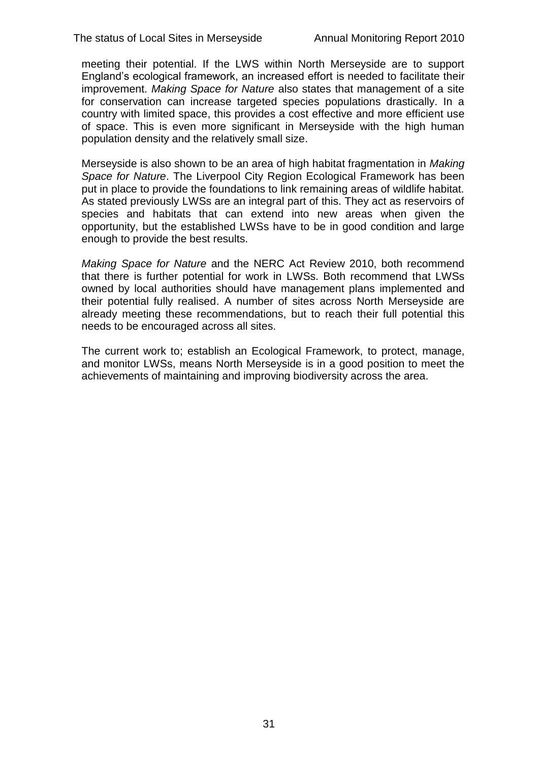meeting their potential. If the LWS within North Merseyside are to support England"s ecological framework, an increased effort is needed to facilitate their improvement. *Making Space for Nature* also states that management of a site for conservation can increase targeted species populations drastically. In a country with limited space, this provides a cost effective and more efficient use of space. This is even more significant in Merseyside with the high human population density and the relatively small size.

Merseyside is also shown to be an area of high habitat fragmentation in *Making Space for Nature*. The Liverpool City Region Ecological Framework has been put in place to provide the foundations to link remaining areas of wildlife habitat. As stated previously LWSs are an integral part of this. They act as reservoirs of species and habitats that can extend into new areas when given the opportunity, but the established LWSs have to be in good condition and large enough to provide the best results.

*Making Space for Nature* and the NERC Act Review 2010, both recommend that there is further potential for work in LWSs. Both recommend that LWSs owned by local authorities should have management plans implemented and their potential fully realised. A number of sites across North Merseyside are already meeting these recommendations, but to reach their full potential this needs to be encouraged across all sites.

The current work to; establish an Ecological Framework, to protect, manage, and monitor LWSs, means North Merseyside is in a good position to meet the achievements of maintaining and improving biodiversity across the area.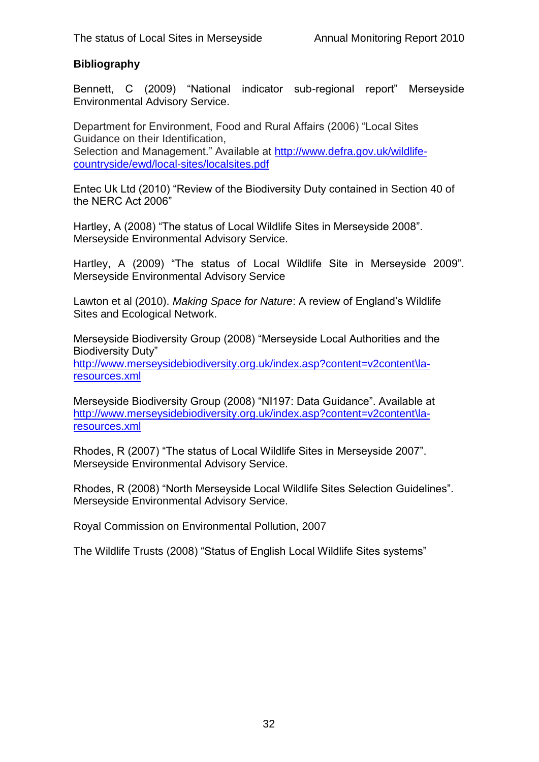# **Bibliography**

Bennett, C (2009) "National indicator sub-regional report" Merseyside Environmental Advisory Service.

Department for Environment, Food and Rural Affairs (2006) "Local Sites Guidance on their Identification, Selection and Management." Available at [http://www.defra.gov.uk/wildlife](http://www.defra.gov.uk/wildlife-countryside/ewd/local-sites/localsites.pdf)[countryside/ewd/local-sites/localsites.pdf](http://www.defra.gov.uk/wildlife-countryside/ewd/local-sites/localsites.pdf)

Entec Uk Ltd (2010) "Review of the Biodiversity Duty contained in Section 40 of the NERC Act 2006"

Hartley, A (2008) "The status of Local Wildlife Sites in Merseyside 2008". Merseyside Environmental Advisory Service.

Hartley, A (2009) "The status of Local Wildlife Site in Merseyside 2009". Merseyside Environmental Advisory Service

Lawton et al (2010). *Making Space for Nature*: A review of England"s Wildlife Sites and Ecological Network.

Merseyside Biodiversity Group (2008) "Merseyside Local Authorities and the Biodiversity Duty"

[http://www.merseysidebiodiversity.org.uk/index.asp?content=v2content\la](http://www.merseysidebiodiversity.org.uk/index.asp?content=v2content/la-resources.xml)[resources.xml](http://www.merseysidebiodiversity.org.uk/index.asp?content=v2content/la-resources.xml)

Merseyside Biodiversity Group (2008) "NI197: Data Guidance". Available at [http://www.merseysidebiodiversity.org.uk/index.asp?content=v2content\la](http://www.merseysidebiodiversity.org.uk/index.asp?content=v2content/la-resources.xml)[resources.xml](http://www.merseysidebiodiversity.org.uk/index.asp?content=v2content/la-resources.xml)

Rhodes, R (2007) "The status of Local Wildlife Sites in Merseyside 2007". Merseyside Environmental Advisory Service.

Rhodes, R (2008) "North Merseyside Local Wildlife Sites Selection Guidelines". Merseyside Environmental Advisory Service.

Royal Commission on Environmental Pollution, 2007

The Wildlife Trusts (2008) "Status of English Local Wildlife Sites systems"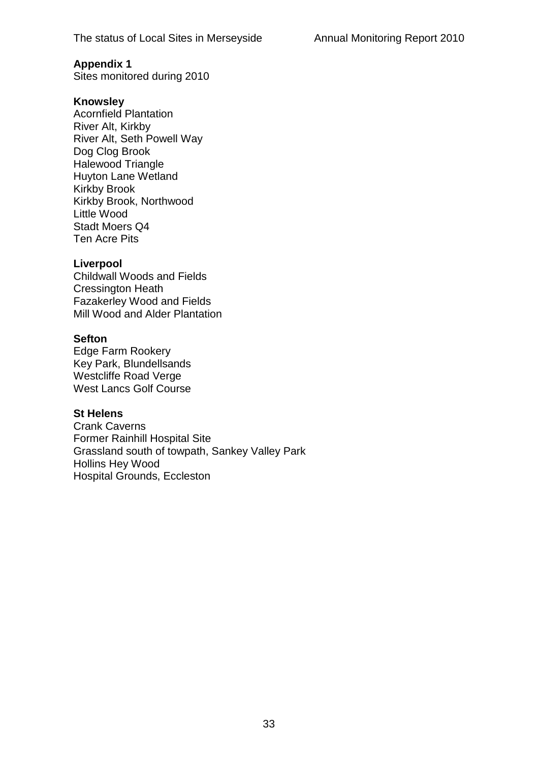Sites monitored during 2010

#### **Knowsley**

Acornfield Plantation River Alt, Kirkby River Alt, Seth Powell Way Dog Clog Brook Halewood Triangle Huyton Lane Wetland Kirkby Brook Kirkby Brook, Northwood Little Wood Stadt Moers Q4 Ten Acre Pits

#### **Liverpool**

Childwall Woods and Fields Cressington Heath Fazakerley Wood and Fields Mill Wood and Alder Plantation

#### **Sefton**

Edge Farm Rookery Key Park, Blundellsands Westcliffe Road Verge West Lancs Golf Course

#### **St Helens**

Crank Caverns Former Rainhill Hospital Site Grassland south of towpath, Sankey Valley Park Hollins Hey Wood Hospital Grounds, Eccleston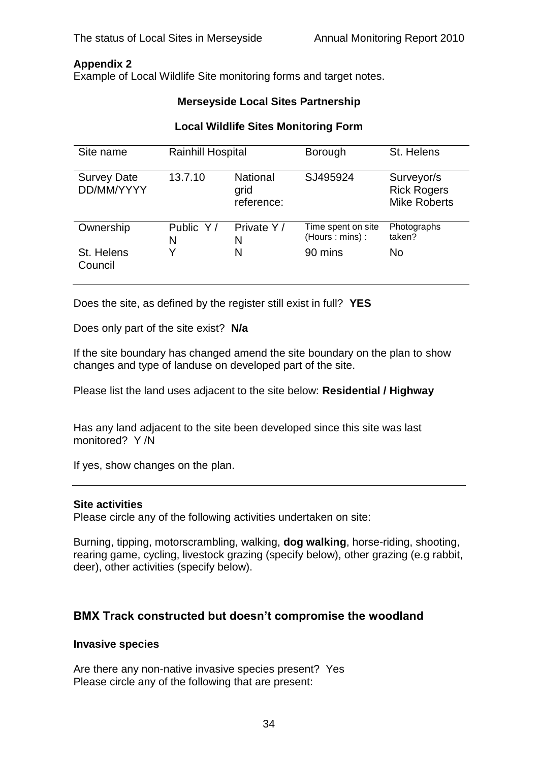Example of Local Wildlife Site monitoring forms and target notes.

#### **Merseyside Local Sites Partnership**

# **Local Wildlife Sites Monitoring Form**

| Site name                        | <b>Rainhill Hospital</b> |                                       | <b>Borough</b>                       | St. Helens                                              |
|----------------------------------|--------------------------|---------------------------------------|--------------------------------------|---------------------------------------------------------|
| <b>Survey Date</b><br>DD/MM/YYYY | 13.7.10                  | <b>National</b><br>grid<br>reference: | SJ495924                             | Surveyor/s<br><b>Rick Rogers</b><br><b>Mike Roberts</b> |
| Ownership                        | Public Y/<br>N           | Private Y/<br>N                       | Time spent on site<br>(Hours: mins): | Photographs<br>taken?                                   |
| St. Helens<br>Council            | Υ                        | N                                     | 90 mins                              | <b>No</b>                                               |

Does the site, as defined by the register still exist in full? **YES**

Does only part of the site exist? **N/a**

If the site boundary has changed amend the site boundary on the plan to show changes and type of landuse on developed part of the site.

Please list the land uses adjacent to the site below: **Residential / Highway**

Has any land adjacent to the site been developed since this site was last monitored? Y /N

If yes, show changes on the plan.

#### **Site activities**

Please circle any of the following activities undertaken on site:

Burning, tipping, motorscrambling, walking, **dog walking**, horse-riding, shooting, rearing game, cycling, livestock grazing (specify below), other grazing (e.g rabbit, deer), other activities (specify below).

# **BMX Track constructed but doesn't compromise the woodland**

#### **Invasive species**

Are there any non-native invasive species present? Yes Please circle any of the following that are present: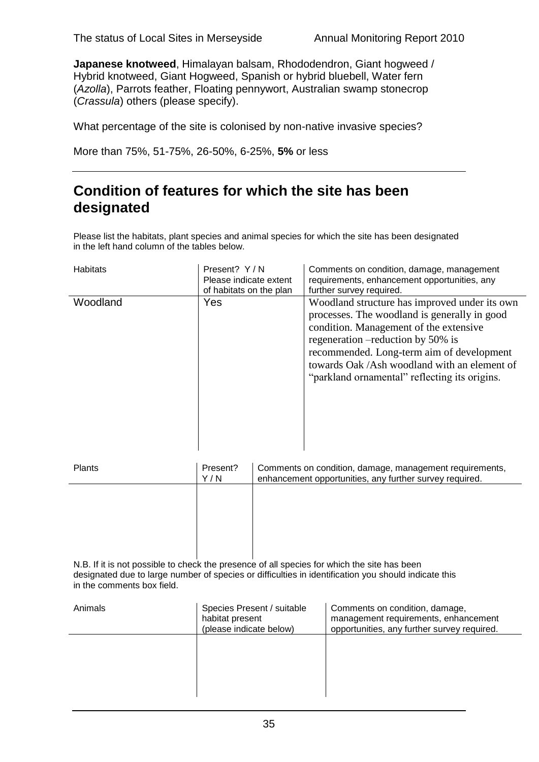**Japanese knotweed**, Himalayan balsam, Rhododendron, Giant hogweed / Hybrid knotweed, Giant Hogweed, Spanish or hybrid bluebell, Water fern (*Azolla*), Parrots feather, Floating pennywort, Australian swamp stonecrop (*Crassula*) others (please specify).

What percentage of the site is colonised by non-native invasive species?

More than 75%, 51-75%, 26-50%, 6-25%, **5%** or less

# **Condition of features for which the site has been designated**

Please list the habitats, plant species and animal species for which the site has been designated in the left hand column of the tables below.

| <b>Habitats</b> | Present? Y/N<br>Please indicate extent<br>of habitats on the plan | Comments on condition, damage, management<br>requirements, enhancement opportunities, any<br>further survey required.                                                                                                                                                                                                       |
|-----------------|-------------------------------------------------------------------|-----------------------------------------------------------------------------------------------------------------------------------------------------------------------------------------------------------------------------------------------------------------------------------------------------------------------------|
| Woodland        | Yes                                                               | Woodland structure has improved under its own<br>processes. The woodland is generally in good<br>condition. Management of the extensive<br>regeneration – reduction by 50% is<br>recommended. Long-term aim of development<br>towards Oak /Ash woodland with an element of<br>"parkland ornamental" reflecting its origins. |

| Plants | Present?<br>Y/N | Comments on condition, damage, management requirements,<br>enhancement opportunities, any further survey required.                                                                                                            |
|--------|-----------------|-------------------------------------------------------------------------------------------------------------------------------------------------------------------------------------------------------------------------------|
|        |                 |                                                                                                                                                                                                                               |
|        |                 |                                                                                                                                                                                                                               |
|        |                 |                                                                                                                                                                                                                               |
|        |                 | A LINE AND MONEY CONTRACT CONTRACT IN THE CONTRACT OF A LINE CONTRACT IN THE RELEASED OF A LINE CONTRACT OF A LINE CONTRACT OF A LINE CONTRACT OF A LINE CONTRACT OF A LINE CONTRACT OF A LINE CONTRACT OF A LINE CONTRACT OF |

N.B. If it is not possible to check the presence of all species for which the site has been designated due to large number of species or difficulties in identification you should indicate this in the comments box field.

| Animals | Species Present / suitable<br>habitat present<br>(please indicate below) | Comments on condition, damage,<br>management requirements, enhancement<br>opportunities, any further survey required. |
|---------|--------------------------------------------------------------------------|-----------------------------------------------------------------------------------------------------------------------|
|         |                                                                          |                                                                                                                       |
|         |                                                                          |                                                                                                                       |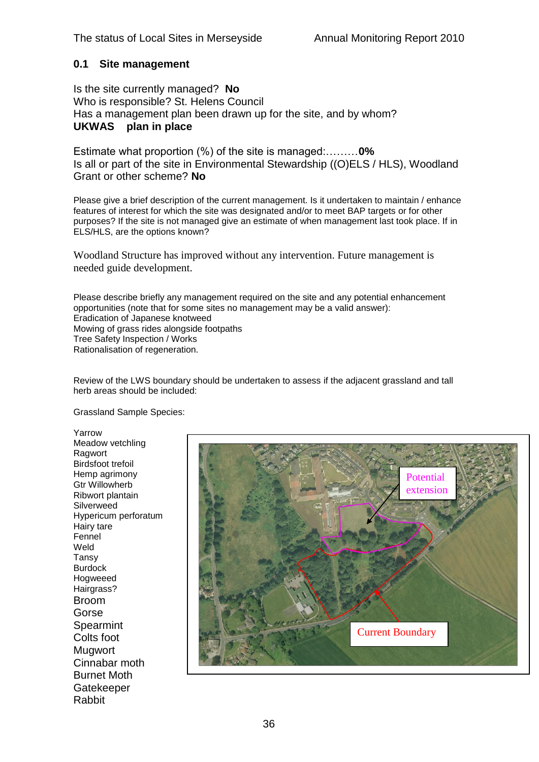# **0.1 Site management**

Is the site currently managed? **No** Who is responsible? St. Helens Council Has a management plan been drawn up for the site, and by whom? **UKWAS plan in place**

Estimate what proportion (%) of the site is managed:………**0%** Is all or part of the site in Environmental Stewardship ((O)ELS / HLS), Woodland Grant or other scheme? **No**

Please give a brief description of the current management. Is it undertaken to maintain / enhance features of interest for which the site was designated and/or to meet BAP targets or for other purposes? If the site is not managed give an estimate of when management last took place. If in ELS/HLS, are the options known?

Woodland Structure has improved without any intervention. Future management is needed guide development.

Please describe briefly any management required on the site and any potential enhancement opportunities (note that for some sites no management may be a valid answer): Eradication of Japanese knotweed Mowing of grass rides alongside footpaths Tree Safety Inspection / Works Rationalisation of regeneration.

Review of the LWS boundary should be undertaken to assess if the adjacent grassland and tall herb areas should be included:

Grassland Sample Species:

Yarrow Meadow vetchling Ragwort Birdsfoot trefoil Hemp agrimony Gtr Willowherb Ribwort plantain Silverweed Hypericum perforatum Hairy tare Fennel Weld Tansy Burdock Hogweeed Hairgrass? Broom Gorse **Spearmint** Colts foot **Mugwort** Cinnabar moth Burnet Moth **Gatekeeper** Rabbit

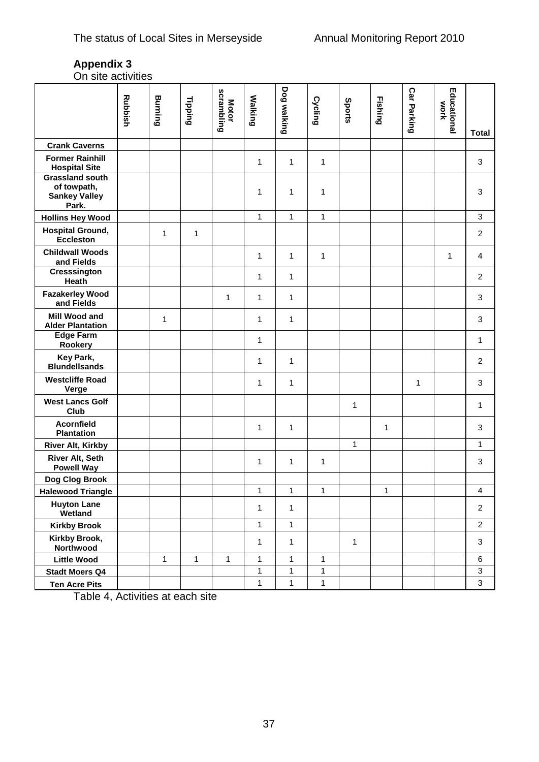On site activities

|                                                                        | <b>Rubbish</b> | Burning      | <b>Tipping</b> | scrambling<br><b>Motor</b> | <b>Walking</b> | <b>Dog walking</b> | Cycling      | Sports | <b>Fishing</b> | <b>Car Parking</b> | Educational<br>WOrk |                           |
|------------------------------------------------------------------------|----------------|--------------|----------------|----------------------------|----------------|--------------------|--------------|--------|----------------|--------------------|---------------------|---------------------------|
|                                                                        |                |              |                |                            |                |                    |              |        |                |                    |                     | <b>Total</b>              |
| <b>Crank Caverns</b>                                                   |                |              |                |                            |                |                    |              |        |                |                    |                     |                           |
| <b>Former Rainhill</b><br><b>Hospital Site</b>                         |                |              |                |                            | 1              | $\mathbf{1}$       | 1            |        |                |                    |                     | $\sqrt{3}$                |
| <b>Grassland south</b><br>of towpath,<br><b>Sankey Valley</b><br>Park. |                |              |                |                            | 1              | $\mathbf{1}$       | 1            |        |                |                    |                     | $\mathbf{3}$              |
| <b>Hollins Hey Wood</b>                                                |                |              |                |                            | 1              | $\mathbf{1}$       | 1            |        |                |                    |                     | $\ensuremath{\mathsf{3}}$ |
| <b>Hospital Ground,</b><br><b>Eccleston</b>                            |                | $\mathbf{1}$ | 1              |                            |                |                    |              |        |                |                    |                     | $\overline{c}$            |
| <b>Childwall Woods</b><br>and Fields                                   |                |              |                |                            | 1              | $\mathbf{1}$       | 1            |        |                |                    | $\mathbf{1}$        | $\overline{4}$            |
| <b>Cresssington</b><br>Heath                                           |                |              |                |                            | 1              | $\mathbf{1}$       |              |        |                |                    |                     | $\overline{c}$            |
| <b>Fazakerley Wood</b><br>and Fields                                   |                |              |                | 1                          | 1              | $\mathbf{1}$       |              |        |                |                    |                     | $\ensuremath{\mathsf{3}}$ |
| Mill Wood and<br><b>Alder Plantation</b>                               |                | 1            |                |                            | 1              | $\mathbf{1}$       |              |        |                |                    |                     | $\ensuremath{\mathsf{3}}$ |
| <b>Edge Farm</b><br>Rookery                                            |                |              |                |                            | $\mathbf{1}$   |                    |              |        |                |                    |                     | $\mathbf{1}$              |
| Key Park,<br><b>Blundellsands</b>                                      |                |              |                |                            | $\mathbf{1}$   | $\mathbf{1}$       |              |        |                |                    |                     | $\overline{2}$            |
| <b>Westcliffe Road</b><br>Verge                                        |                |              |                |                            | $\mathbf{1}$   | $\mathbf{1}$       |              |        |                | 1                  |                     | $\mathbf{3}$              |
| <b>West Lancs Golf</b><br>Club                                         |                |              |                |                            |                |                    |              | 1      |                |                    |                     | $\mathbf{1}$              |
| <b>Acornfield</b><br><b>Plantation</b>                                 |                |              |                |                            | 1              | $\mathbf{1}$       |              |        | 1              |                    |                     | $\ensuremath{\mathsf{3}}$ |
| River Alt, Kirkby                                                      |                |              |                |                            |                |                    |              | 1      |                |                    |                     | 1                         |
| River Alt, Seth<br><b>Powell Way</b>                                   |                |              |                |                            | 1              | 1                  | 1            |        |                |                    |                     | $\ensuremath{\mathsf{3}}$ |
| Dog Clog Brook                                                         |                |              |                |                            |                |                    |              |        |                |                    |                     |                           |
| <b>Halewood Triangle</b>                                               |                |              |                |                            | $\mathbf{1}$   | $\mathbf{1}$       | $\mathbf{1}$ |        | $\mathbf{1}$   |                    |                     | $\overline{\mathbf{4}}$   |
| <b>Huyton Lane</b><br>Wetland                                          |                |              |                |                            | 1              | $\mathbf{1}$       |              |        |                |                    |                     | $\overline{c}$            |
| <b>Kirkby Brook</b>                                                    |                |              |                |                            | $\mathbf{1}$   | $\mathbf{1}$       |              |        |                |                    |                     | $\overline{c}$            |
| Kirkby Brook,<br>Northwood                                             |                |              |                |                            | 1              | $\mathbf{1}$       |              | 1      |                |                    |                     | $\sqrt{3}$                |
| <b>Little Wood</b>                                                     |                | 1            | 1              | 1                          | 1              | $\mathbf{1}$       | 1            |        |                |                    |                     | $\,6$                     |
| <b>Stadt Moers Q4</b>                                                  |                |              |                |                            | $\mathbf{1}$   | 1                  | $\mathbf 1$  |        |                |                    |                     | $\sqrt{3}$                |
| <b>Ten Acre Pits</b>                                                   |                |              |                |                            | $\mathbf{1}$   | $\mathbf{1}$       | $\mathbf{1}$ |        |                |                    |                     | $\mathfrak{Z}$            |

Table 4, Activities at each site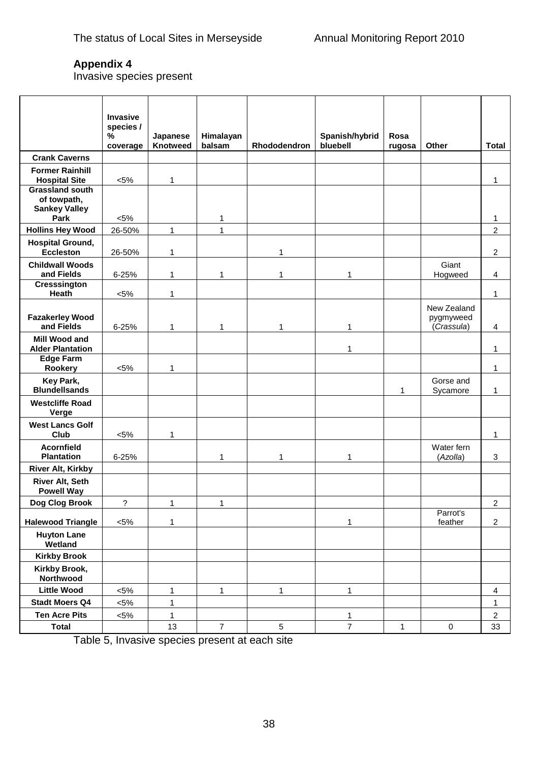Invasive species present

|                                                                       | <b>Invasive</b><br>species /<br>$\%$ | Japanese     | Himalayan      |              | Spanish/hybrid | Rosa   |                                        |                         |
|-----------------------------------------------------------------------|--------------------------------------|--------------|----------------|--------------|----------------|--------|----------------------------------------|-------------------------|
|                                                                       | coverage                             | Knotweed     | balsam         | Rhododendron | bluebell       | rugosa | Other                                  | <b>Total</b>            |
| <b>Crank Caverns</b>                                                  |                                      |              |                |              |                |        |                                        |                         |
| <b>Former Rainhill</b><br><b>Hospital Site</b>                        | $< 5\%$                              | 1            |                |              |                |        |                                        | 1                       |
| <b>Grassland south</b><br>of towpath,<br><b>Sankey Valley</b><br>Park | $< 5\%$                              |              | 1              |              |                |        |                                        | 1                       |
| <b>Hollins Hey Wood</b>                                               | 26-50%                               | $\mathbf{1}$ | 1              |              |                |        |                                        | $\overline{c}$          |
| <b>Hospital Ground,</b><br><b>Eccleston</b>                           | 26-50%                               | 1            |                | 1            |                |        |                                        | $\overline{c}$          |
| <b>Childwall Woods</b><br>and Fields                                  | 6-25%                                | 1            | 1              | 1            | 1              |        | Giant<br>Hogweed                       | 4                       |
| <b>Cresssington</b><br>Heath                                          | $< 5\%$                              | 1            |                |              |                |        |                                        | 1                       |
| <b>Fazakerley Wood</b><br>and Fields                                  | $6 - 25%$                            | 1            | 1              | 1            | 1              |        | New Zealand<br>pygmyweed<br>(Crassula) | 4                       |
| Mill Wood and<br><b>Alder Plantation</b>                              |                                      |              |                |              | 1              |        |                                        | 1                       |
| <b>Edge Farm</b><br>Rookery                                           | $< 5\%$                              | 1            |                |              |                |        |                                        | 1                       |
| Key Park,<br><b>Blundellsands</b>                                     |                                      |              |                |              |                | 1      | Gorse and<br>Sycamore                  | 1                       |
| <b>Westcliffe Road</b><br>Verge                                       |                                      |              |                |              |                |        |                                        |                         |
| <b>West Lancs Golf</b><br>Club                                        | $< 5\%$                              | 1            |                |              |                |        |                                        | 1                       |
| <b>Acornfield</b><br><b>Plantation</b>                                | 6-25%                                |              | 1              | 1            | 1              |        | Water fern<br>(Azolla)                 | 3                       |
| River Alt, Kirkby                                                     |                                      |              |                |              |                |        |                                        |                         |
| <b>River Alt, Seth</b><br><b>Powell Way</b>                           |                                      |              |                |              |                |        |                                        |                         |
| Dog Clog Brook                                                        | ?                                    | 1            | 1              |              |                |        |                                        | 2                       |
| <b>Halewood Triangle</b>                                              | $< 5\%$                              | 1            |                |              | $\mathbf{1}$   |        | Parrot's<br>feather                    | $\overline{2}$          |
| <b>Huyton Lane</b><br>Wetland                                         |                                      |              |                |              |                |        |                                        |                         |
| <b>Kirkby Brook</b>                                                   |                                      |              |                |              |                |        |                                        |                         |
| Kirkby Brook,<br>Northwood                                            |                                      |              |                |              |                |        |                                        |                         |
| <b>Little Wood</b>                                                    | $< 5\%$                              | $\mathbf{1}$ | $\mathbf{1}$   | $\mathbf{1}$ | $\mathbf{1}$   |        |                                        | $\overline{\mathbf{4}}$ |
| <b>Stadt Moers Q4</b>                                                 | $< 5\%$                              | $\mathbf{1}$ |                |              |                |        |                                        | $\mathbf{1}$            |
| <b>Ten Acre Pits</b>                                                  | $< 5\%$                              | $\mathbf{1}$ |                |              | $\mathbf{1}$   |        |                                        | $\overline{2}$          |
| <b>Total</b>                                                          |                                      | 13           | $\overline{7}$ | 5            | $\overline{7}$ | 1      | 0                                      | 33                      |

Table 5, Invasive species present at each site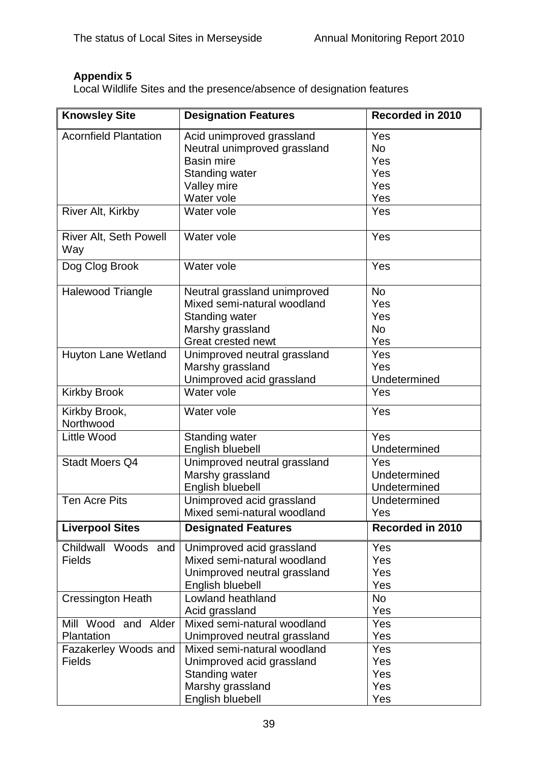Local Wildlife Sites and the presence/absence of designation features

| <b>Knowsley Site</b>          | <b>Designation Features</b>  | Recorded in 2010 |
|-------------------------------|------------------------------|------------------|
| <b>Acornfield Plantation</b>  | Acid unimproved grassland    | Yes              |
|                               | Neutral unimproved grassland | <b>No</b>        |
|                               | <b>Basin mire</b>            | Yes              |
|                               | <b>Standing water</b>        | Yes              |
|                               | Valley mire                  | Yes              |
|                               | Water vole                   | Yes              |
| River Alt, Kirkby             | Water vole                   | Yes              |
| River Alt, Seth Powell<br>Way | Water vole                   | Yes              |
| Dog Clog Brook                | Water vole                   | Yes              |
| <b>Halewood Triangle</b>      | Neutral grassland unimproved | <b>No</b>        |
|                               | Mixed semi-natural woodland  | Yes              |
|                               | <b>Standing water</b>        | Yes              |
|                               | Marshy grassland             | <b>No</b>        |
|                               | <b>Great crested newt</b>    | Yes              |
| <b>Huyton Lane Wetland</b>    | Unimproved neutral grassland | Yes              |
|                               | Marshy grassland             | Yes              |
|                               | Unimproved acid grassland    | Undetermined     |
| <b>Kirkby Brook</b>           | Water vole                   | Yes              |
| Kirkby Brook,<br>Northwood    | Water vole                   | Yes              |
| <b>Little Wood</b>            | Standing water               | Yes              |
|                               | English bluebell             | Undetermined     |
| <b>Stadt Moers Q4</b>         | Unimproved neutral grassland | Yes              |
|                               | Marshy grassland             | Undetermined     |
|                               | English bluebell             | Undetermined     |
| <b>Ten Acre Pits</b>          | Unimproved acid grassland    | Undetermined     |
|                               | Mixed semi-natural woodland  | Yes              |
| <b>Liverpool Sites</b>        | <b>Designated Features</b>   | Recorded in 2010 |
| Childwall Woods and           | Unimproved acid grassland    | Yes              |
| <b>Fields</b>                 | Mixed semi-natural woodland  | Yes              |
|                               | Unimproved neutral grassland | Yes              |
|                               | English bluebell             | Yes              |
| <b>Cressington Heath</b>      | Lowland heathland            | No               |
|                               | Acid grassland               | Yes              |
| Mill Wood and Alder           | Mixed semi-natural woodland  | Yes              |
| Plantation                    | Unimproved neutral grassland | Yes              |
| Fazakerley Woods and          | Mixed semi-natural woodland  | Yes              |
| <b>Fields</b>                 | Unimproved acid grassland    | Yes              |
|                               | <b>Standing water</b>        | Yes              |
|                               | Marshy grassland             | Yes              |
|                               | English bluebell             | Yes              |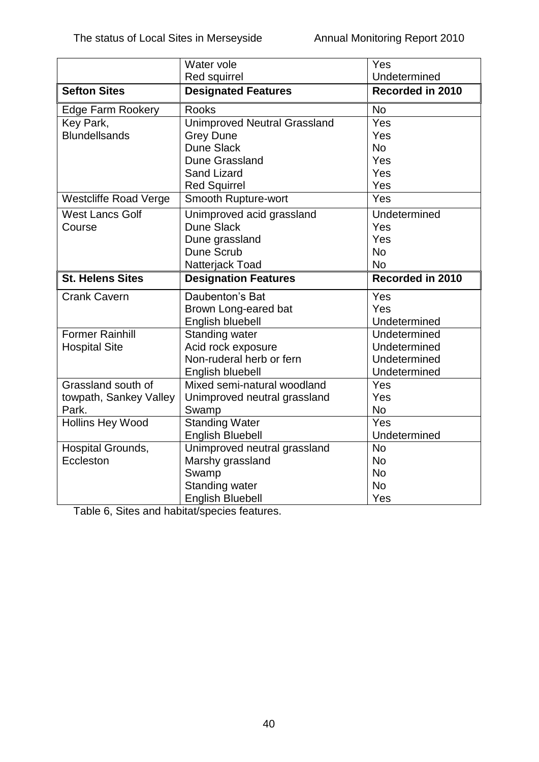|                              | Water vole                          | Yes              |
|------------------------------|-------------------------------------|------------------|
|                              | <b>Red squirrel</b>                 | Undetermined     |
| <b>Sefton Sites</b>          | <b>Designated Features</b>          | Recorded in 2010 |
| <b>Edge Farm Rookery</b>     | <b>Rooks</b>                        | <b>No</b>        |
| Key Park,                    | <b>Unimproved Neutral Grassland</b> | Yes              |
| <b>Blundellsands</b>         | <b>Grey Dune</b>                    | Yes              |
|                              | <b>Dune Slack</b>                   | <b>No</b>        |
|                              | Dune Grassland                      | Yes              |
|                              | <b>Sand Lizard</b>                  | Yes              |
|                              | <b>Red Squirrel</b>                 | Yes              |
| <b>Westcliffe Road Verge</b> | Smooth Rupture-wort                 | Yes              |
| <b>West Lancs Golf</b>       | Unimproved acid grassland           | Undetermined     |
| Course                       | Dune Slack                          | Yes              |
|                              | Dune grassland                      | Yes              |
|                              | Dune Scrub                          | <b>No</b>        |
|                              | Natterjack Toad                     | No               |
| <b>St. Helens Sites</b>      | <b>Designation Features</b>         | Recorded in 2010 |
| <b>Crank Cavern</b>          | Daubenton's Bat                     | Yes              |
|                              | Brown Long-eared bat                | Yes              |
|                              | English bluebell                    | Undetermined     |
| <b>Former Rainhill</b>       | <b>Standing water</b>               | Undetermined     |
| <b>Hospital Site</b>         | Acid rock exposure                  | Undetermined     |
|                              | Non-ruderal herb or fern            | Undetermined     |
|                              | English bluebell                    | Undetermined     |
| Grassland south of           | Mixed semi-natural woodland         | Yes              |
| towpath, Sankey Valley       | Unimproved neutral grassland        | Yes              |
| Park.                        | Swamp                               | <b>No</b>        |
| <b>Hollins Hey Wood</b>      | Standing Water                      | Yes              |
|                              | <b>English Bluebell</b>             | Undetermined     |
| Hospital Grounds,            | Unimproved neutral grassland        | <b>No</b>        |
| Eccleston                    | Marshy grassland                    | <b>No</b>        |
|                              | Swamp                               | <b>No</b>        |
|                              | <b>Standing water</b>               | <b>No</b>        |
|                              | <b>English Bluebell</b>             | Yes              |

Table 6, Sites and habitat/species features.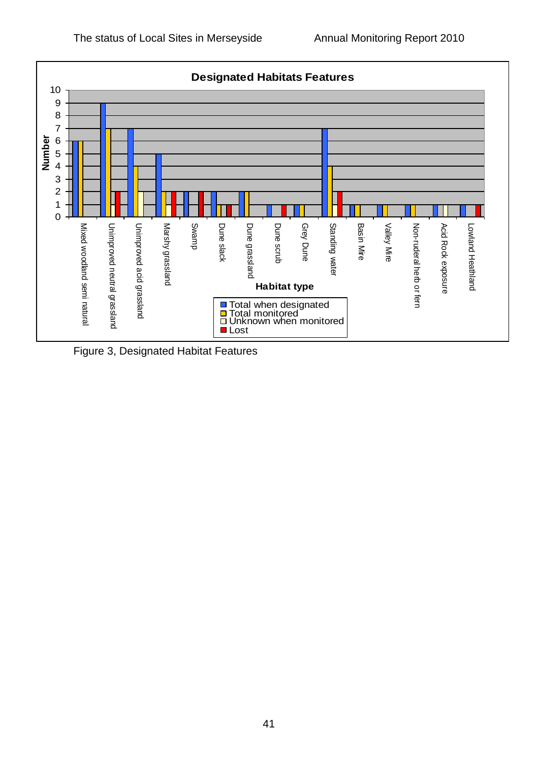

Figure 3, Designated Habitat Features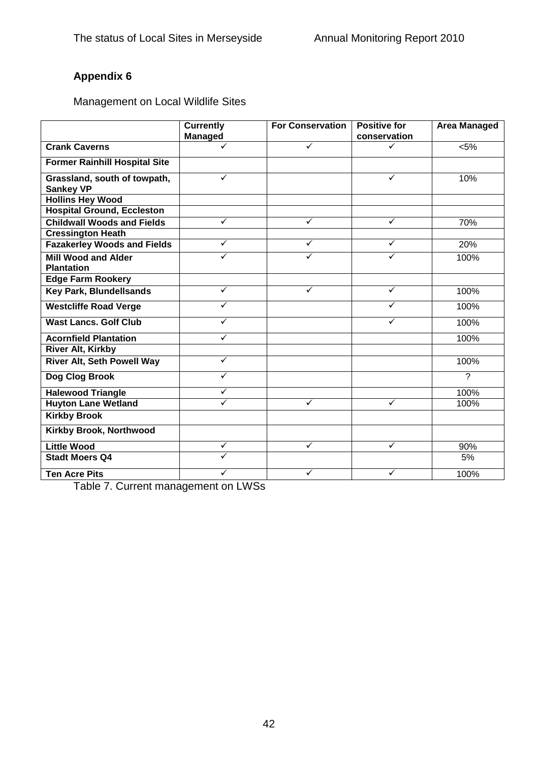Management on Local Wildlife Sites

|                                                  | <b>Currently</b>        | <b>For Conservation</b> | <b>Positive for</b> | <b>Area Managed</b> |
|--------------------------------------------------|-------------------------|-------------------------|---------------------|---------------------|
|                                                  | <b>Managed</b>          |                         | conservation        |                     |
| <b>Crank Caverns</b>                             |                         | ✓                       | ✓                   | < 5%                |
| <b>Former Rainhill Hospital Site</b>             |                         |                         |                     |                     |
| Grassland, south of towpath,<br><b>Sankey VP</b> | ✓                       |                         | ✓                   | 10%                 |
| <b>Hollins Hey Wood</b>                          |                         |                         |                     |                     |
| <b>Hospital Ground, Eccleston</b>                |                         |                         |                     |                     |
| <b>Childwall Woods and Fields</b>                | $\checkmark$            | $\checkmark$            | $\checkmark$        | 70%                 |
| <b>Cressington Heath</b>                         |                         |                         |                     |                     |
| <b>Fazakerley Woods and Fields</b>               | $\checkmark$            | $\checkmark$            | $\checkmark$        | 20%                 |
| <b>Mill Wood and Alder</b><br><b>Plantation</b>  | $\overline{\checkmark}$ | $\checkmark$            | ✓                   | 100%                |
| <b>Edge Farm Rookery</b>                         |                         |                         |                     |                     |
| <b>Key Park, Blundellsands</b>                   | ✓                       | ✓                       | ✓                   | 100%                |
| <b>Westcliffe Road Verge</b>                     | ✓                       |                         |                     | 100%                |
| <b>Wast Lancs, Golf Club</b>                     | ✓                       |                         | ✓                   | 100%                |
| <b>Acornfield Plantation</b>                     | ✓                       |                         |                     | 100%                |
| River Alt, Kirkby                                |                         |                         |                     |                     |
| River Alt, Seth Powell Way                       | $\checkmark$            |                         |                     | 100%                |
| Dog Clog Brook                                   |                         |                         |                     | $\overline{?}$      |
| <b>Halewood Triangle</b>                         | $\checkmark$            |                         |                     | 100%                |
| <b>Huyton Lane Wetland</b>                       | ✓                       | ✓                       | ✓                   | 100%                |
| <b>Kirkby Brook</b>                              |                         |                         |                     |                     |
| Kirkby Brook, Northwood                          |                         |                         |                     |                     |
| <b>Little Wood</b>                               | $\checkmark$            | $\checkmark$            | $\checkmark$        | 90%                 |
| <b>Stadt Moers Q4</b>                            | $\overline{\checkmark}$ |                         |                     | 5%                  |
| <b>Ten Acre Pits</b>                             | ✓                       | ✓                       | ✓                   | 100%                |

Table 7. Current management on LWSs